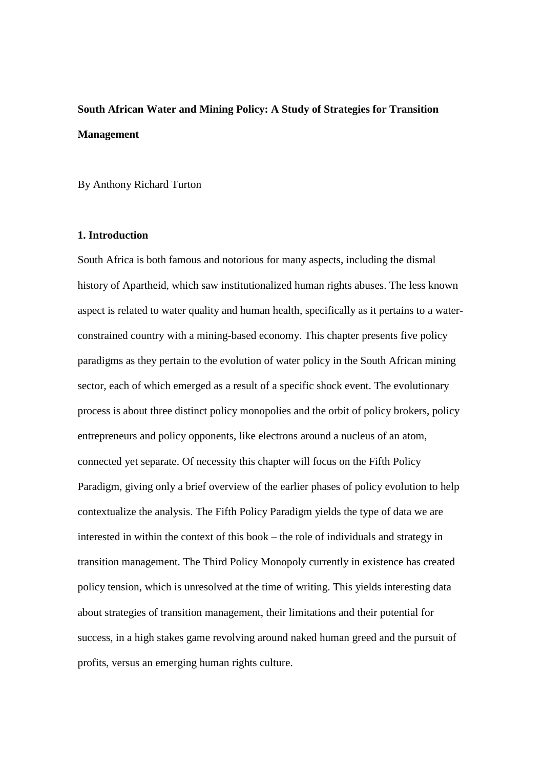# **South African Water and Mining Policy: A Study of Strategies for Transition Management**

By Anthony Richard Turton

# **1. Introduction**

South Africa is both famous and notorious for many aspects, including the dismal history of Apartheid, which saw institutionalized human rights abuses. The less known aspect is related to water quality and human health, specifically as it pertains to a waterconstrained country with a mining-based economy. This chapter presents five policy paradigms as they pertain to the evolution of water policy in the South African mining sector, each of which emerged as a result of a specific shock event. The evolutionary process is about three distinct policy monopolies and the orbit of policy brokers, policy entrepreneurs and policy opponents, like electrons around a nucleus of an atom, connected yet separate. Of necessity this chapter will focus on the Fifth Policy Paradigm, giving only a brief overview of the earlier phases of policy evolution to help contextualize the analysis. The Fifth Policy Paradigm yields the type of data we are interested in within the context of this book – the role of individuals and strategy in transition management. The Third Policy Monopoly currently in existence has created policy tension, which is unresolved at the time of writing. This yields interesting data about strategies of transition management, their limitations and their potential for success, in a high stakes game revolving around naked human greed and the pursuit of profits, versus an emerging human rights culture.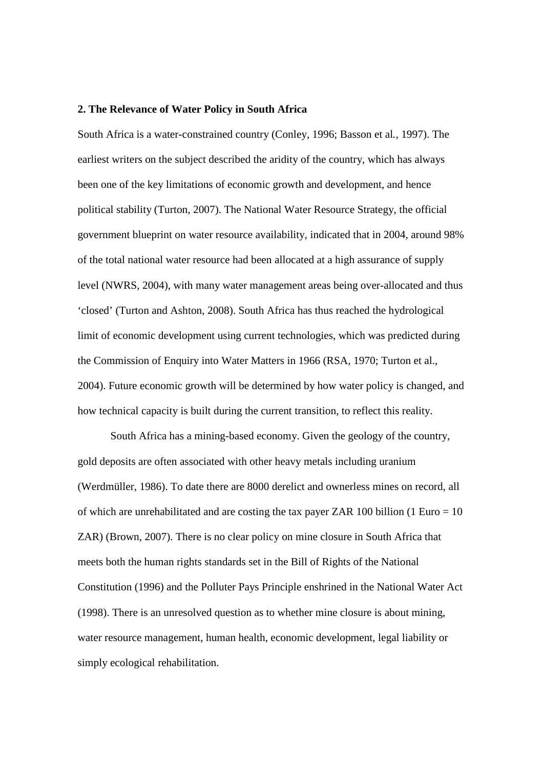#### **2. The Relevance of Water Policy in South Africa**

South Africa is a water-constrained country (Conley, 1996; Basson et al*.,* 1997). The earliest writers on the subject described the aridity of the country, which has always been one of the key limitations of economic growth and development, and hence political stability (Turton, 2007). The National Water Resource Strategy, the official government blueprint on water resource availability, indicated that in 2004, around 98% of the total national water resource had been allocated at a high assurance of supply level (NWRS, 2004), with many water management areas being over-allocated and thus 'closed' (Turton and Ashton, 2008). South Africa has thus reached the hydrological limit of economic development using current technologies, which was predicted during the Commission of Enquiry into Water Matters in 1966 (RSA, 1970; Turton et al., 2004). Future economic growth will be determined by how water policy is changed, and how technical capacity is built during the current transition, to reflect this reality.

South Africa has a mining-based economy. Given the geology of the country, gold deposits are often associated with other heavy metals including uranium (Werdmüller, 1986). To date there are 8000 derelict and ownerless mines on record, all of which are unrehabilitated and are costing the tax payer ZAR 100 billion (1 Euro  $= 10$ ) ZAR) (Brown, 2007). There is no clear policy on mine closure in South Africa that meets both the human rights standards set in the Bill of Rights of the National Constitution (1996) and the Polluter Pays Principle enshrined in the National Water Act (1998). There is an unresolved question as to whether mine closure is about mining, water resource management, human health, economic development, legal liability or simply ecological rehabilitation.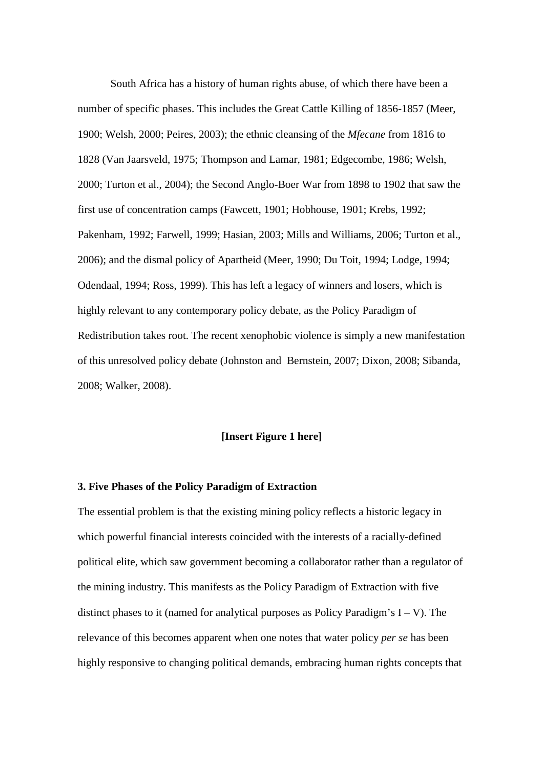South Africa has a history of human rights abuse, of which there have been a number of specific phases. This includes the Great Cattle Killing of 1856-1857 (Meer, 1900; Welsh, 2000; Peires, 2003); the ethnic cleansing of the *Mfecane* from 1816 to 1828 (Van Jaarsveld, 1975; Thompson and Lamar, 1981; Edgecombe, 1986; Welsh, 2000; Turton et al., 2004); the Second Anglo-Boer War from 1898 to 1902 that saw the first use of concentration camps (Fawcett, 1901; Hobhouse, 1901; Krebs, 1992; Pakenham, 1992; Farwell, 1999; Hasian, 2003; Mills and Williams, 2006; Turton et al., 2006); and the dismal policy of Apartheid (Meer, 1990; Du Toit, 1994; Lodge, 1994; Odendaal, 1994; Ross, 1999). This has left a legacy of winners and losers, which is highly relevant to any contemporary policy debate, as the Policy Paradigm of Redistribution takes root. The recent xenophobic violence is simply a new manifestation of this unresolved policy debate (Johnston and Bernstein, 2007; Dixon, 2008; Sibanda, 2008; Walker, 2008).

# **[Insert Figure 1 here]**

#### **3. Five Phases of the Policy Paradigm of Extraction**

The essential problem is that the existing mining policy reflects a historic legacy in which powerful financial interests coincided with the interests of a racially-defined political elite, which saw government becoming a collaborator rather than a regulator of the mining industry. This manifests as the Policy Paradigm of Extraction with five distinct phases to it (named for analytical purposes as Policy Paradigm's  $I - V$ ). The relevance of this becomes apparent when one notes that water policy *per se* has been highly responsive to changing political demands, embracing human rights concepts that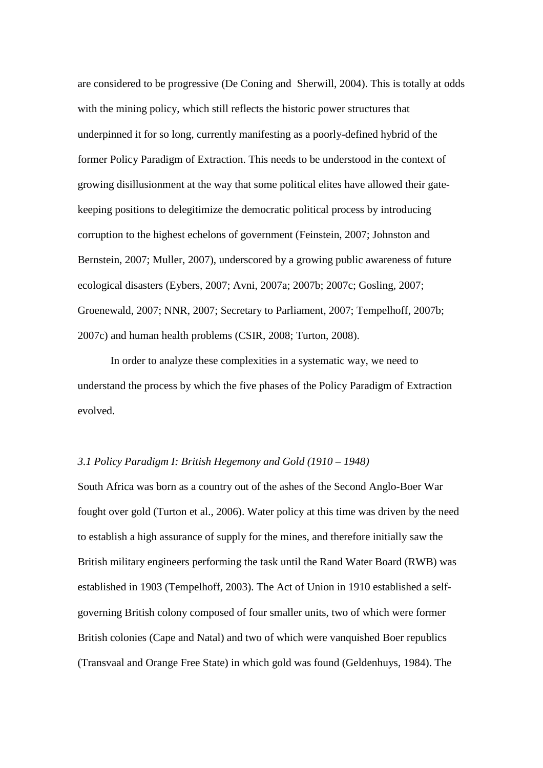are considered to be progressive (De Coning and Sherwill, 2004). This is totally at odds with the mining policy, which still reflects the historic power structures that underpinned it for so long, currently manifesting as a poorly-defined hybrid of the former Policy Paradigm of Extraction. This needs to be understood in the context of growing disillusionment at the way that some political elites have allowed their gatekeeping positions to delegitimize the democratic political process by introducing corruption to the highest echelons of government (Feinstein, 2007; Johnston and Bernstein, 2007; Muller, 2007), underscored by a growing public awareness of future ecological disasters (Eybers, 2007; Avni, 2007a; 2007b; 2007c; Gosling, 2007; Groenewald, 2007; NNR, 2007; Secretary to Parliament, 2007; Tempelhoff, 2007b; 2007c) and human health problems (CSIR, 2008; Turton, 2008).

In order to analyze these complexities in a systematic way, we need to understand the process by which the five phases of the Policy Paradigm of Extraction evolved.

#### *3.1 Policy Paradigm I: British Hegemony and Gold (1910 – 1948)*

South Africa was born as a country out of the ashes of the Second Anglo-Boer War fought over gold (Turton et al., 2006). Water policy at this time was driven by the need to establish a high assurance of supply for the mines, and therefore initially saw the British military engineers performing the task until the Rand Water Board (RWB) was established in 1903 (Tempelhoff, 2003). The Act of Union in 1910 established a selfgoverning British colony composed of four smaller units, two of which were former British colonies (Cape and Natal) and two of which were vanquished Boer republics (Transvaal and Orange Free State) in which gold was found (Geldenhuys, 1984). The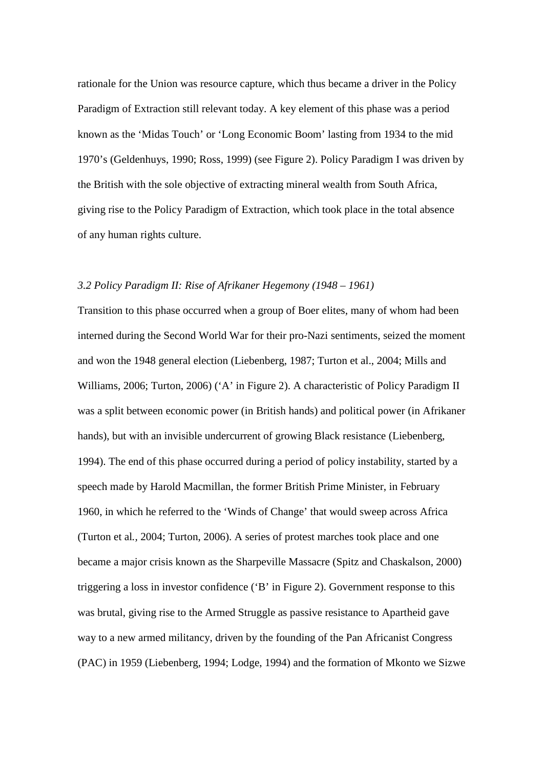rationale for the Union was resource capture, which thus became a driver in the Policy Paradigm of Extraction still relevant today. A key element of this phase was a period known as the 'Midas Touch' or 'Long Economic Boom' lasting from 1934 to the mid 1970's (Geldenhuys, 1990; Ross, 1999) (see Figure 2). Policy Paradigm I was driven by the British with the sole objective of extracting mineral wealth from South Africa, giving rise to the Policy Paradigm of Extraction, which took place in the total absence of any human rights culture.

# *3.2 Policy Paradigm II: Rise of Afrikaner Hegemony (1948 – 1961)*

Transition to this phase occurred when a group of Boer elites, many of whom had been interned during the Second World War for their pro-Nazi sentiments, seized the moment and won the 1948 general election (Liebenberg, 1987; Turton et al., 2004; Mills and Williams, 2006; Turton, 2006) ('A' in Figure 2). A characteristic of Policy Paradigm II was a split between economic power (in British hands) and political power (in Afrikaner hands), but with an invisible undercurrent of growing Black resistance (Liebenberg, 1994). The end of this phase occurred during a period of policy instability, started by a speech made by Harold Macmillan, the former British Prime Minister, in February 1960, in which he referred to the 'Winds of Change' that would sweep across Africa (Turton et al*.,* 2004; Turton, 2006). A series of protest marches took place and one became a major crisis known as the Sharpeville Massacre (Spitz and Chaskalson, 2000) triggering a loss in investor confidence ('B' in Figure 2). Government response to this was brutal, giving rise to the Armed Struggle as passive resistance to Apartheid gave way to a new armed militancy, driven by the founding of the Pan Africanist Congress (PAC) in 1959 (Liebenberg, 1994; Lodge, 1994) and the formation of Mkonto we Sizwe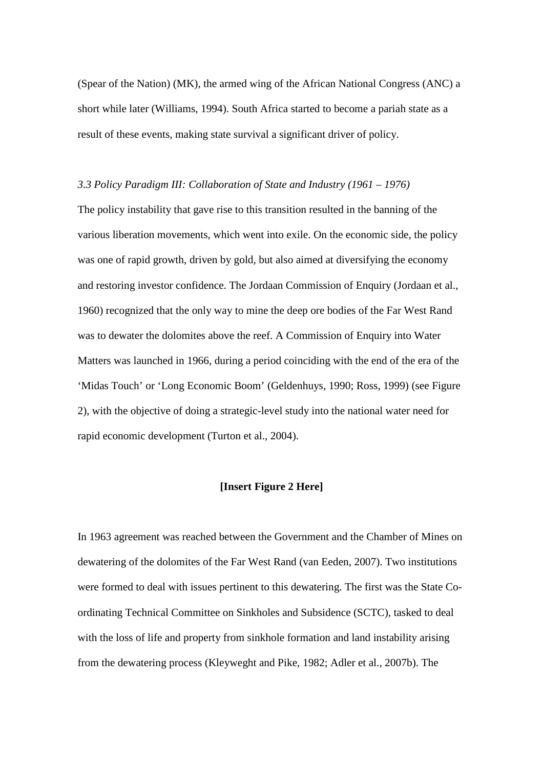(Spear of the Nation) (MK), the armed wing of the African National Congress (ANC) a short while later (Williams, 1994). South Africa started to become a pariah state as a result of these events, making state survival a significant driver of policy.

#### *3.3 Policy Paradigm III: Collaboration of State and Industry (1961 – 1976)*

The policy instability that gave rise to this transition resulted in the banning of the various liberation movements, which went into exile. On the economic side, the policy was one of rapid growth, driven by gold, but also aimed at diversifying the economy and restoring investor confidence. The Jordaan Commission of Enquiry (Jordaan et al., 1960) recognized that the only way to mine the deep ore bodies of the Far West Rand was to dewater the dolomites above the reef. A Commission of Enquiry into Water Matters was launched in 1966, during a period coinciding with the end of the era of the 'Midas Touch' or 'Long Economic Boom' (Geldenhuys, 1990; Ross, 1999) (see Figure 2), with the objective of doing a strategic-level study into the national water need for rapid economic development (Turton et al., 2004).

## **[Insert Figure 2 Here]**

In 1963 agreement was reached between the Government and the Chamber of Mines on dewatering of the dolomites of the Far West Rand (van Eeden, 2007). Two institutions were formed to deal with issues pertinent to this dewatering. The first was the State Coordinating Technical Committee on Sinkholes and Subsidence (SCTC), tasked to deal with the loss of life and property from sinkhole formation and land instability arising from the dewatering process (Kleyweght and Pike, 1982; Adler et al., 2007b). The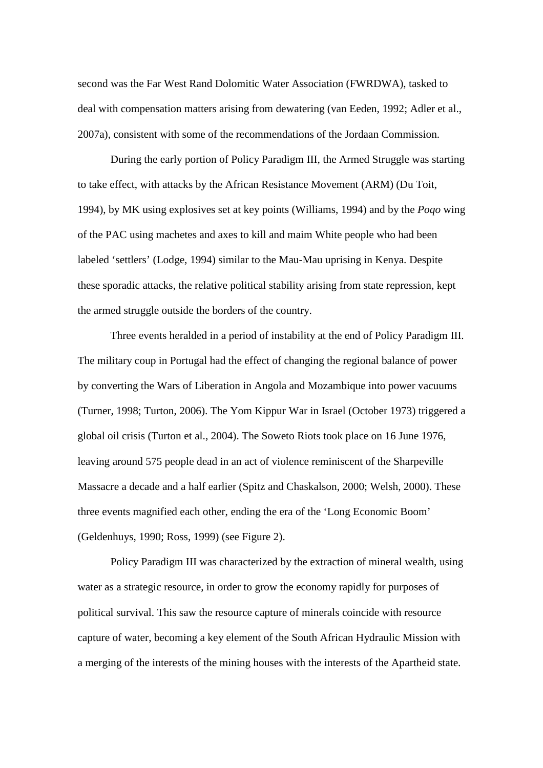second was the Far West Rand Dolomitic Water Association (FWRDWA), tasked to deal with compensation matters arising from dewatering (van Eeden, 1992; Adler et al., 2007a), consistent with some of the recommendations of the Jordaan Commission.

During the early portion of Policy Paradigm III, the Armed Struggle was starting to take effect, with attacks by the African Resistance Movement (ARM) (Du Toit, 1994), by MK using explosives set at key points (Williams, 1994) and by the *Poqo* wing of the PAC using machetes and axes to kill and maim White people who had been labeled 'settlers' (Lodge, 1994) similar to the Mau-Mau uprising in Kenya. Despite these sporadic attacks, the relative political stability arising from state repression, kept the armed struggle outside the borders of the country.

Three events heralded in a period of instability at the end of Policy Paradigm III. The military coup in Portugal had the effect of changing the regional balance of power by converting the Wars of Liberation in Angola and Mozambique into power vacuums (Turner, 1998; Turton, 2006). The Yom Kippur War in Israel (October 1973) triggered a global oil crisis (Turton et al., 2004). The Soweto Riots took place on 16 June 1976, leaving around 575 people dead in an act of violence reminiscent of the Sharpeville Massacre a decade and a half earlier (Spitz and Chaskalson, 2000; Welsh, 2000). These three events magnified each other, ending the era of the 'Long Economic Boom' (Geldenhuys, 1990; Ross, 1999) (see Figure 2).

Policy Paradigm III was characterized by the extraction of mineral wealth, using water as a strategic resource, in order to grow the economy rapidly for purposes of political survival. This saw the resource capture of minerals coincide with resource capture of water, becoming a key element of the South African Hydraulic Mission with a merging of the interests of the mining houses with the interests of the Apartheid state.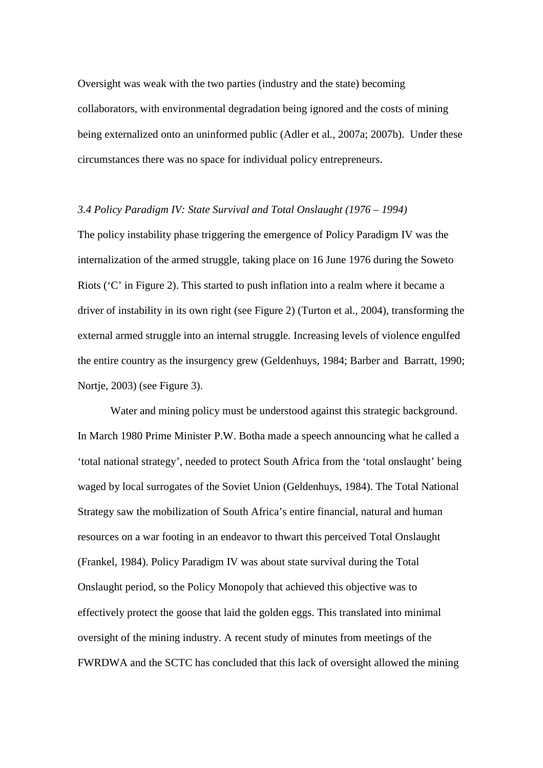Oversight was weak with the two parties (industry and the state) becoming collaborators, with environmental degradation being ignored and the costs of mining being externalized onto an uninformed public (Adler et al*.,* 2007a; 2007b). Under these circumstances there was no space for individual policy entrepreneurs.

#### *3.4 Policy Paradigm IV: State Survival and Total Onslaught (1976 – 1994)*

The policy instability phase triggering the emergence of Policy Paradigm IV was the internalization of the armed struggle, taking place on 16 June 1976 during the Soweto Riots ('C' in Figure 2). This started to push inflation into a realm where it became a driver of instability in its own right (see Figure 2) (Turton et al., 2004), transforming the external armed struggle into an internal struggle. Increasing levels of violence engulfed the entire country as the insurgency grew (Geldenhuys, 1984; Barber and Barratt, 1990; Nortje, 2003) (see Figure 3).

Water and mining policy must be understood against this strategic background. In March 1980 Prime Minister P.W. Botha made a speech announcing what he called a 'total national strategy', needed to protect South Africa from the 'total onslaught' being waged by local surrogates of the Soviet Union (Geldenhuys, 1984). The Total National Strategy saw the mobilization of South Africa's entire financial, natural and human resources on a war footing in an endeavor to thwart this perceived Total Onslaught (Frankel, 1984). Policy Paradigm IV was about state survival during the Total Onslaught period, so the Policy Monopoly that achieved this objective was to effectively protect the goose that laid the golden eggs. This translated into minimal oversight of the mining industry. A recent study of minutes from meetings of the FWRDWA and the SCTC has concluded that this lack of oversight allowed the mining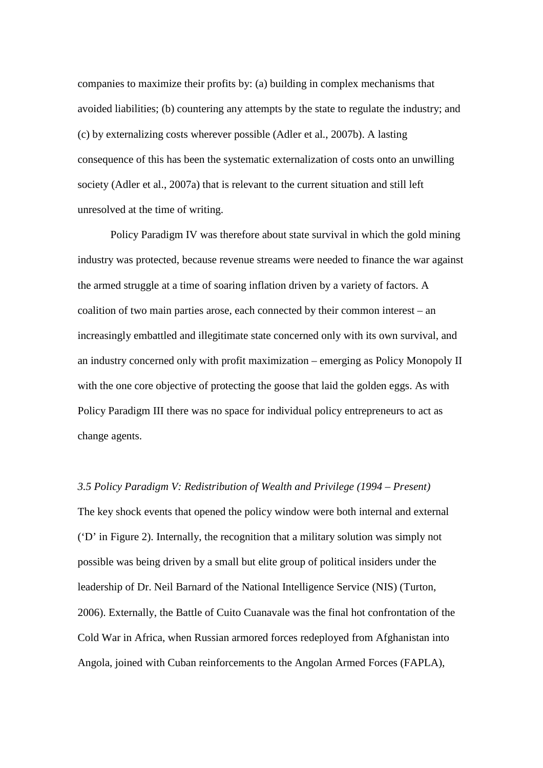companies to maximize their profits by: (a) building in complex mechanisms that avoided liabilities; (b) countering any attempts by the state to regulate the industry; and (c) by externalizing costs wherever possible (Adler et al., 2007b). A lasting consequence of this has been the systematic externalization of costs onto an unwilling society (Adler et al., 2007a) that is relevant to the current situation and still left unresolved at the time of writing.

Policy Paradigm IV was therefore about state survival in which the gold mining industry was protected, because revenue streams were needed to finance the war against the armed struggle at a time of soaring inflation driven by a variety of factors. A coalition of two main parties arose, each connected by their common interest – an increasingly embattled and illegitimate state concerned only with its own survival, and an industry concerned only with profit maximization – emerging as Policy Monopoly II with the one core objective of protecting the goose that laid the golden eggs. As with Policy Paradigm III there was no space for individual policy entrepreneurs to act as change agents.

## *3.5 Policy Paradigm V: Redistribution of Wealth and Privilege (1994 – Present)*

The key shock events that opened the policy window were both internal and external ('D' in Figure 2). Internally, the recognition that a military solution was simply not possible was being driven by a small but elite group of political insiders under the leadership of Dr. Neil Barnard of the National Intelligence Service (NIS) (Turton, 2006). Externally, the Battle of Cuito Cuanavale was the final hot confrontation of the Cold War in Africa, when Russian armored forces redeployed from Afghanistan into Angola, joined with Cuban reinforcements to the Angolan Armed Forces (FAPLA),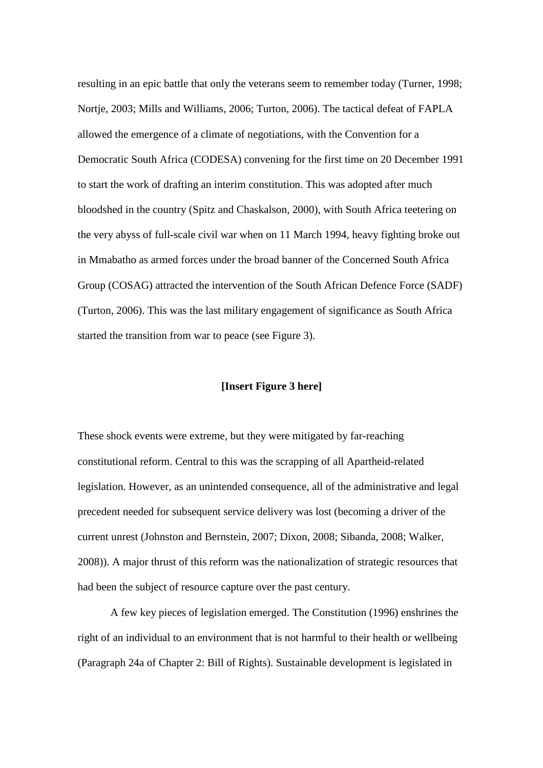resulting in an epic battle that only the veterans seem to remember today (Turner, 1998; Nortje, 2003; Mills and Williams, 2006; Turton, 2006). The tactical defeat of FAPLA allowed the emergence of a climate of negotiations, with the Convention for a Democratic South Africa (CODESA) convening for the first time on 20 December 1991 to start the work of drafting an interim constitution. This was adopted after much bloodshed in the country (Spitz and Chaskalson, 2000), with South Africa teetering on the very abyss of full-scale civil war when on 11 March 1994, heavy fighting broke out in Mmabatho as armed forces under the broad banner of the Concerned South Africa Group (COSAG) attracted the intervention of the South African Defence Force (SADF) (Turton, 2006). This was the last military engagement of significance as South Africa started the transition from war to peace (see Figure 3).

## **[Insert Figure 3 here]**

These shock events were extreme, but they were mitigated by far-reaching constitutional reform. Central to this was the scrapping of all Apartheid-related legislation. However, as an unintended consequence, all of the administrative and legal precedent needed for subsequent service delivery was lost (becoming a driver of the current unrest (Johnston and Bernstein, 2007; Dixon, 2008; Sibanda, 2008; Walker, 2008)). A major thrust of this reform was the nationalization of strategic resources that had been the subject of resource capture over the past century.

A few key pieces of legislation emerged. The Constitution (1996) enshrines the right of an individual to an environment that is not harmful to their health or wellbeing (Paragraph 24a of Chapter 2: Bill of Rights). Sustainable development is legislated in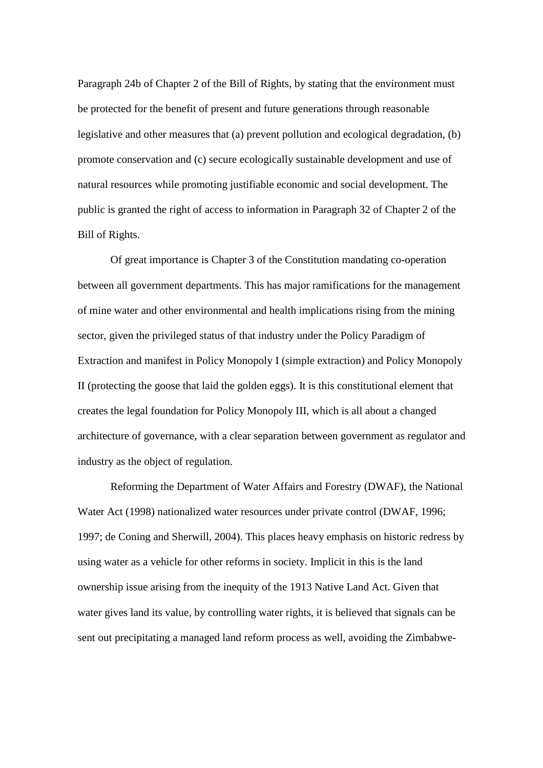Paragraph 24b of Chapter 2 of the Bill of Rights, by stating that the environment must be protected for the benefit of present and future generations through reasonable legislative and other measures that (a) prevent pollution and ecological degradation, (b) promote conservation and (c) secure ecologically sustainable development and use of natural resources while promoting justifiable economic and social development. The public is granted the right of access to information in Paragraph 32 of Chapter 2 of the Bill of Rights.

Of great importance is Chapter 3 of the Constitution mandating co-operation between all government departments. This has major ramifications for the management of mine water and other environmental and health implications rising from the mining sector, given the privileged status of that industry under the Policy Paradigm of Extraction and manifest in Policy Monopoly I (simple extraction) and Policy Monopoly II (protecting the goose that laid the golden eggs). It is this constitutional element that creates the legal foundation for Policy Monopoly III, which is all about a changed architecture of governance, with a clear separation between government as regulator and industry as the object of regulation.

Reforming the Department of Water Affairs and Forestry (DWAF), the National Water Act (1998) nationalized water resources under private control (DWAF, 1996; 1997; de Coning and Sherwill, 2004). This places heavy emphasis on historic redress by using water as a vehicle for other reforms in society. Implicit in this is the land ownership issue arising from the inequity of the 1913 Native Land Act. Given that water gives land its value, by controlling water rights, it is believed that signals can be sent out precipitating a managed land reform process as well, avoiding the Zimbabwe-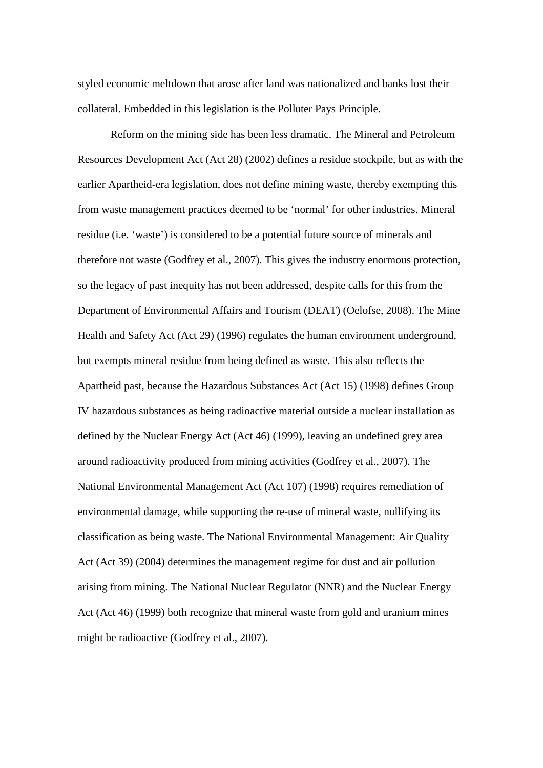styled economic meltdown that arose after land was nationalized and banks lost their collateral. Embedded in this legislation is the Polluter Pays Principle.

Reform on the mining side has been less dramatic. The Mineral and Petroleum Resources Development Act (Act 28) (2002) defines a residue stockpile, but as with the earlier Apartheid-era legislation, does not define mining waste, thereby exempting this from waste management practices deemed to be 'normal' for other industries. Mineral residue (i.e. 'waste') is considered to be a potential future source of minerals and therefore not waste (Godfrey et al., 2007). This gives the industry enormous protection, so the legacy of past inequity has not been addressed, despite calls for this from the Department of Environmental Affairs and Tourism (DEAT) (Oelofse, 2008). The Mine Health and Safety Act (Act 29) (1996) regulates the human environment underground, but exempts mineral residue from being defined as waste. This also reflects the Apartheid past, because the Hazardous Substances Act (Act 15) (1998) defines Group IV hazardous substances as being radioactive material outside a nuclear installation as defined by the Nuclear Energy Act (Act 46) (1999), leaving an undefined grey area around radioactivity produced from mining activities (Godfrey et al*.,* 2007). The National Environmental Management Act (Act 107) (1998) requires remediation of environmental damage, while supporting the re-use of mineral waste, nullifying its classification as being waste. The National Environmental Management: Air Quality Act (Act 39) (2004) determines the management regime for dust and air pollution arising from mining. The National Nuclear Regulator (NNR) and the Nuclear Energy Act (Act 46) (1999) both recognize that mineral waste from gold and uranium mines might be radioactive (Godfrey et al., 2007).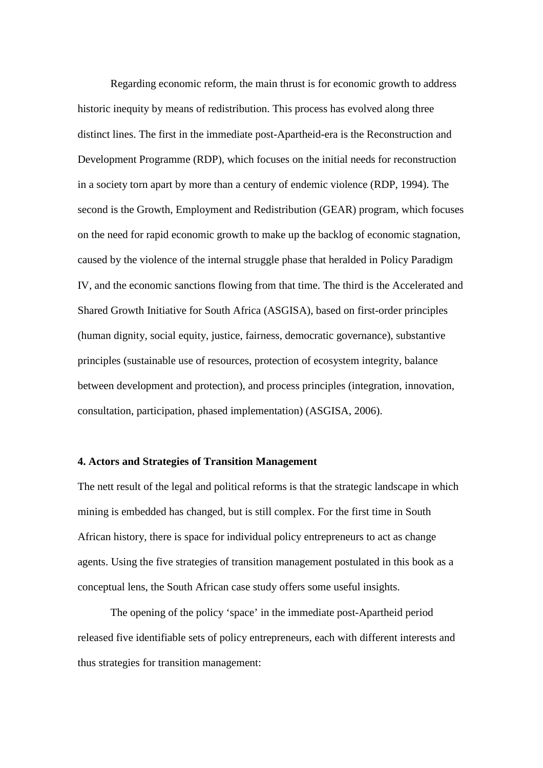Regarding economic reform, the main thrust is for economic growth to address historic inequity by means of redistribution. This process has evolved along three distinct lines. The first in the immediate post-Apartheid-era is the Reconstruction and Development Programme (RDP), which focuses on the initial needs for reconstruction in a society torn apart by more than a century of endemic violence (RDP, 1994). The second is the Growth, Employment and Redistribution (GEAR) program, which focuses on the need for rapid economic growth to make up the backlog of economic stagnation, caused by the violence of the internal struggle phase that heralded in Policy Paradigm IV, and the economic sanctions flowing from that time. The third is the Accelerated and Shared Growth Initiative for South Africa (ASGISA), based on first-order principles (human dignity, social equity, justice, fairness, democratic governance), substantive principles (sustainable use of resources, protection of ecosystem integrity, balance between development and protection), and process principles (integration, innovation, consultation, participation, phased implementation) (ASGISA, 2006).

#### **4. Actors and Strategies of Transition Management**

The nett result of the legal and political reforms is that the strategic landscape in which mining is embedded has changed, but is still complex. For the first time in South African history, there is space for individual policy entrepreneurs to act as change agents. Using the five strategies of transition management postulated in this book as a conceptual lens, the South African case study offers some useful insights.

The opening of the policy 'space' in the immediate post-Apartheid period released five identifiable sets of policy entrepreneurs, each with different interests and thus strategies for transition management: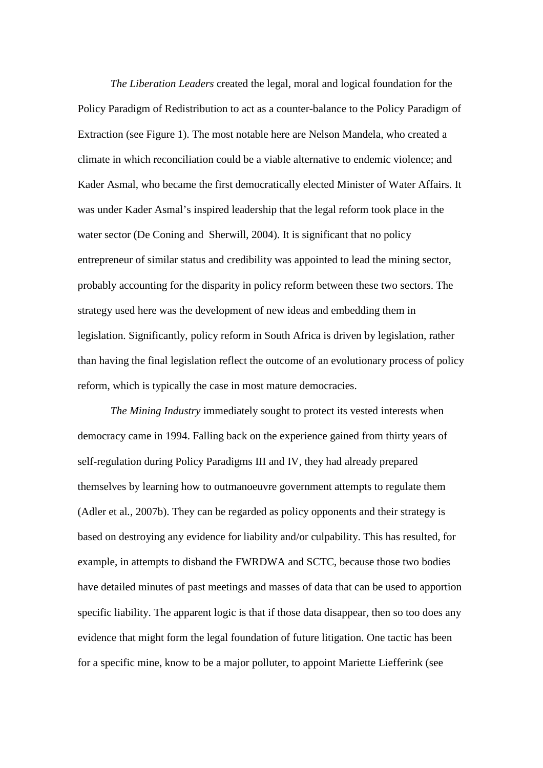*The Liberation Leaders* created the legal, moral and logical foundation for the Policy Paradigm of Redistribution to act as a counter-balance to the Policy Paradigm of Extraction (see Figure 1). The most notable here are Nelson Mandela, who created a climate in which reconciliation could be a viable alternative to endemic violence; and Kader Asmal, who became the first democratically elected Minister of Water Affairs. It was under Kader Asmal's inspired leadership that the legal reform took place in the water sector (De Coning and Sherwill, 2004). It is significant that no policy entrepreneur of similar status and credibility was appointed to lead the mining sector, probably accounting for the disparity in policy reform between these two sectors. The strategy used here was the development of new ideas and embedding them in legislation. Significantly, policy reform in South Africa is driven by legislation, rather than having the final legislation reflect the outcome of an evolutionary process of policy reform, which is typically the case in most mature democracies.

*The Mining Industry* immediately sought to protect its vested interests when democracy came in 1994. Falling back on the experience gained from thirty years of self-regulation during Policy Paradigms III and IV, they had already prepared themselves by learning how to outmanoeuvre government attempts to regulate them (Adler et al*.,* 2007b). They can be regarded as policy opponents and their strategy is based on destroying any evidence for liability and/or culpability. This has resulted, for example, in attempts to disband the FWRDWA and SCTC, because those two bodies have detailed minutes of past meetings and masses of data that can be used to apportion specific liability. The apparent logic is that if those data disappear, then so too does any evidence that might form the legal foundation of future litigation. One tactic has been for a specific mine, know to be a major polluter, to appoint Mariette Liefferink (see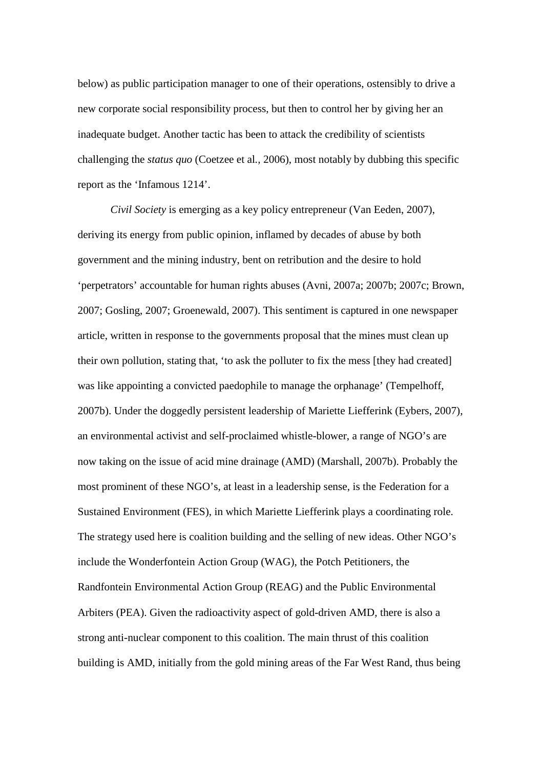below) as public participation manager to one of their operations, ostensibly to drive a new corporate social responsibility process, but then to control her by giving her an inadequate budget. Another tactic has been to attack the credibility of scientists challenging the *status quo* (Coetzee et al*.,* 2006), most notably by dubbing this specific report as the 'Infamous 1214'.

*Civil Society* is emerging as a key policy entrepreneur (Van Eeden, 2007), deriving its energy from public opinion, inflamed by decades of abuse by both government and the mining industry, bent on retribution and the desire to hold 'perpetrators' accountable for human rights abuses (Avni, 2007a; 2007b; 2007c; Brown, 2007; Gosling, 2007; Groenewald, 2007). This sentiment is captured in one newspaper article, written in response to the governments proposal that the mines must clean up their own pollution, stating that, 'to ask the polluter to fix the mess [they had created] was like appointing a convicted paedophile to manage the orphanage' (Tempelhoff, 2007b). Under the doggedly persistent leadership of Mariette Liefferink (Eybers, 2007), an environmental activist and self-proclaimed whistle-blower, a range of NGO's are now taking on the issue of acid mine drainage (AMD) (Marshall, 2007b). Probably the most prominent of these NGO's, at least in a leadership sense, is the Federation for a Sustained Environment (FES), in which Mariette Liefferink plays a coordinating role. The strategy used here is coalition building and the selling of new ideas. Other NGO's include the Wonderfontein Action Group (WAG), the Potch Petitioners, the Randfontein Environmental Action Group (REAG) and the Public Environmental Arbiters (PEA). Given the radioactivity aspect of gold-driven AMD, there is also a strong anti-nuclear component to this coalition. The main thrust of this coalition building is AMD, initially from the gold mining areas of the Far West Rand, thus being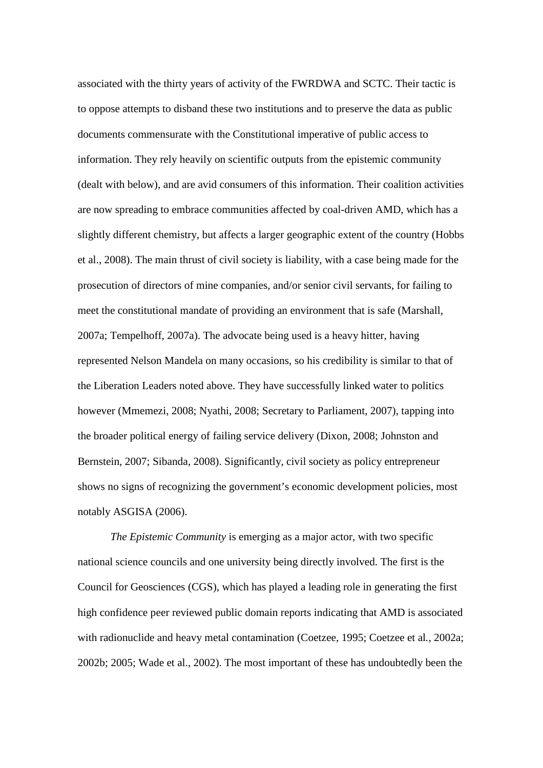associated with the thirty years of activity of the FWRDWA and SCTC. Their tactic is to oppose attempts to disband these two institutions and to preserve the data as public documents commensurate with the Constitutional imperative of public access to information. They rely heavily on scientific outputs from the epistemic community (dealt with below), and are avid consumers of this information. Their coalition activities are now spreading to embrace communities affected by coal-driven AMD, which has a slightly different chemistry, but affects a larger geographic extent of the country (Hobbs et al., 2008). The main thrust of civil society is liability, with a case being made for the prosecution of directors of mine companies, and/or senior civil servants, for failing to meet the constitutional mandate of providing an environment that is safe (Marshall, 2007a; Tempelhoff, 2007a). The advocate being used is a heavy hitter, having represented Nelson Mandela on many occasions, so his credibility is similar to that of the Liberation Leaders noted above. They have successfully linked water to politics however (Mmemezi, 2008; Nyathi, 2008; Secretary to Parliament, 2007), tapping into the broader political energy of failing service delivery (Dixon, 2008; Johnston and Bernstein, 2007; Sibanda, 2008). Significantly, civil society as policy entrepreneur shows no signs of recognizing the government's economic development policies, most notably ASGISA (2006).

*The Epistemic Community* is emerging as a major actor, with two specific national science councils and one university being directly involved. The first is the Council for Geosciences (CGS), which has played a leading role in generating the first high confidence peer reviewed public domain reports indicating that AMD is associated with radionuclide and heavy metal contamination (Coetzee, 1995; Coetzee et al*.,* 2002a; 2002b; 2005; Wade et al., 2002). The most important of these has undoubtedly been the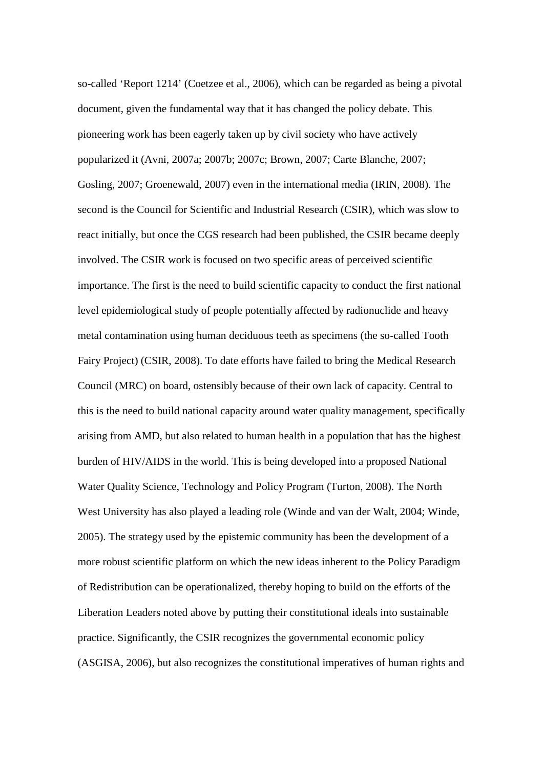so-called 'Report 1214' (Coetzee et al., 2006), which can be regarded as being a pivotal document, given the fundamental way that it has changed the policy debate. This pioneering work has been eagerly taken up by civil society who have actively popularized it (Avni, 2007a; 2007b; 2007c; Brown, 2007; Carte Blanche, 2007; Gosling, 2007; Groenewald, 2007) even in the international media (IRIN, 2008). The second is the Council for Scientific and Industrial Research (CSIR), which was slow to react initially, but once the CGS research had been published, the CSIR became deeply involved. The CSIR work is focused on two specific areas of perceived scientific importance. The first is the need to build scientific capacity to conduct the first national level epidemiological study of people potentially affected by radionuclide and heavy metal contamination using human deciduous teeth as specimens (the so-called Tooth Fairy Project) (CSIR, 2008). To date efforts have failed to bring the Medical Research Council (MRC) on board, ostensibly because of their own lack of capacity. Central to this is the need to build national capacity around water quality management, specifically arising from AMD, but also related to human health in a population that has the highest burden of HIV/AIDS in the world. This is being developed into a proposed National Water Quality Science, Technology and Policy Program (Turton, 2008). The North West University has also played a leading role (Winde and van der Walt, 2004; Winde, 2005). The strategy used by the epistemic community has been the development of a more robust scientific platform on which the new ideas inherent to the Policy Paradigm of Redistribution can be operationalized, thereby hoping to build on the efforts of the Liberation Leaders noted above by putting their constitutional ideals into sustainable practice. Significantly, the CSIR recognizes the governmental economic policy (ASGISA, 2006), but also recognizes the constitutional imperatives of human rights and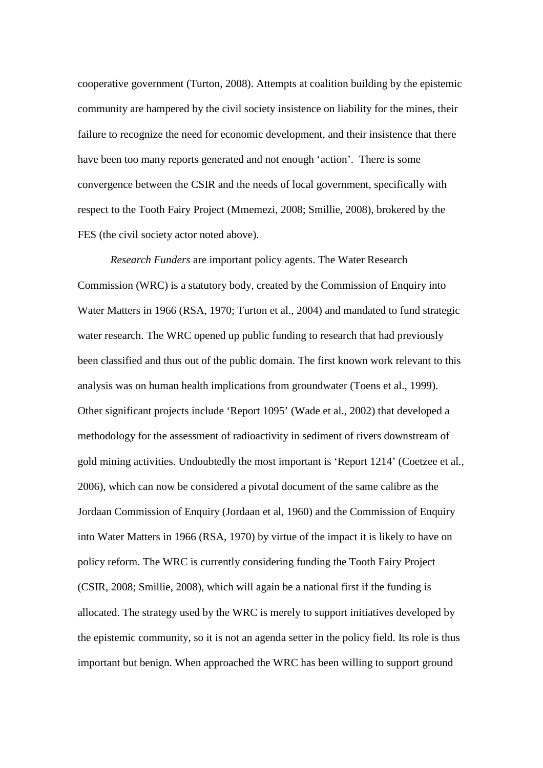cooperative government (Turton, 2008). Attempts at coalition building by the epistemic community are hampered by the civil society insistence on liability for the mines, their failure to recognize the need for economic development, and their insistence that there have been too many reports generated and not enough 'action'. There is some convergence between the CSIR and the needs of local government, specifically with respect to the Tooth Fairy Project (Mmemezi, 2008; Smillie, 2008), brokered by the FES (the civil society actor noted above).

*Research Funders* are important policy agents. The Water Research Commission (WRC) is a statutory body, created by the Commission of Enquiry into Water Matters in 1966 (RSA, 1970; Turton et al., 2004) and mandated to fund strategic water research. The WRC opened up public funding to research that had previously been classified and thus out of the public domain. The first known work relevant to this analysis was on human health implications from groundwater (Toens et al., 1999). Other significant projects include 'Report 1095' (Wade et al., 2002) that developed a methodology for the assessment of radioactivity in sediment of rivers downstream of gold mining activities. Undoubtedly the most important is 'Report 1214' (Coetzee et al*.,* 2006), which can now be considered a pivotal document of the same calibre as the Jordaan Commission of Enquiry (Jordaan et al, 1960) and the Commission of Enquiry into Water Matters in 1966 (RSA, 1970) by virtue of the impact it is likely to have on policy reform. The WRC is currently considering funding the Tooth Fairy Project (CSIR, 2008; Smillie, 2008), which will again be a national first if the funding is allocated. The strategy used by the WRC is merely to support initiatives developed by the epistemic community, so it is not an agenda setter in the policy field. Its role is thus important but benign. When approached the WRC has been willing to support ground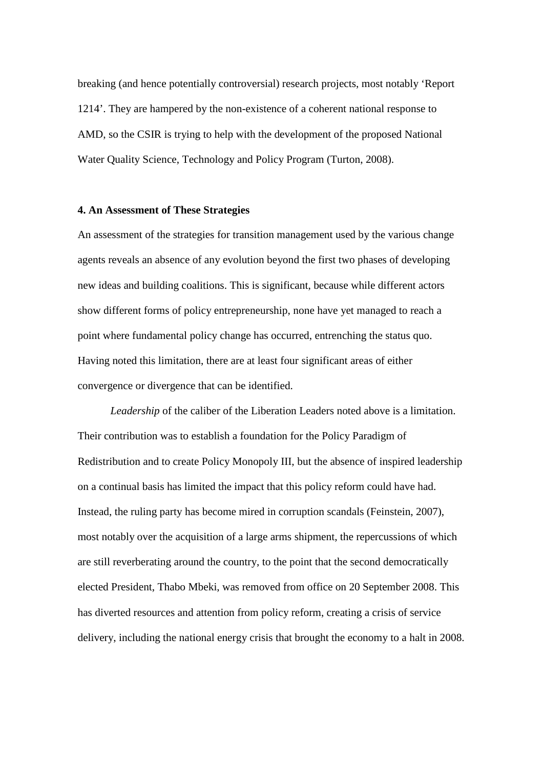breaking (and hence potentially controversial) research projects, most notably 'Report 1214'. They are hampered by the non-existence of a coherent national response to AMD, so the CSIR is trying to help with the development of the proposed National Water Quality Science, Technology and Policy Program (Turton, 2008).

#### **4. An Assessment of These Strategies**

An assessment of the strategies for transition management used by the various change agents reveals an absence of any evolution beyond the first two phases of developing new ideas and building coalitions. This is significant, because while different actors show different forms of policy entrepreneurship, none have yet managed to reach a point where fundamental policy change has occurred, entrenching the status quo. Having noted this limitation, there are at least four significant areas of either convergence or divergence that can be identified.

*Leadership* of the caliber of the Liberation Leaders noted above is a limitation. Their contribution was to establish a foundation for the Policy Paradigm of Redistribution and to create Policy Monopoly III, but the absence of inspired leadership on a continual basis has limited the impact that this policy reform could have had. Instead, the ruling party has become mired in corruption scandals (Feinstein, 2007), most notably over the acquisition of a large arms shipment, the repercussions of which are still reverberating around the country, to the point that the second democratically elected President, Thabo Mbeki, was removed from office on 20 September 2008. This has diverted resources and attention from policy reform, creating a crisis of service delivery, including the national energy crisis that brought the economy to a halt in 2008.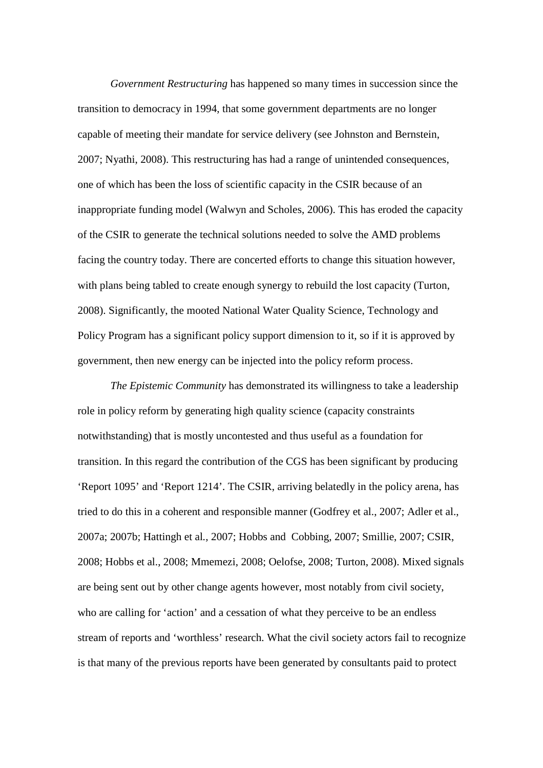*Government Restructuring* has happened so many times in succession since the transition to democracy in 1994, that some government departments are no longer capable of meeting their mandate for service delivery (see Johnston and Bernstein, 2007; Nyathi, 2008). This restructuring has had a range of unintended consequences, one of which has been the loss of scientific capacity in the CSIR because of an inappropriate funding model (Walwyn and Scholes, 2006). This has eroded the capacity of the CSIR to generate the technical solutions needed to solve the AMD problems facing the country today. There are concerted efforts to change this situation however, with plans being tabled to create enough synergy to rebuild the lost capacity (Turton, 2008). Significantly, the mooted National Water Quality Science, Technology and Policy Program has a significant policy support dimension to it, so if it is approved by government, then new energy can be injected into the policy reform process.

*The Epistemic Community* has demonstrated its willingness to take a leadership role in policy reform by generating high quality science (capacity constraints notwithstanding) that is mostly uncontested and thus useful as a foundation for transition. In this regard the contribution of the CGS has been significant by producing 'Report 1095' and 'Report 1214'. The CSIR, arriving belatedly in the policy arena, has tried to do this in a coherent and responsible manner (Godfrey et al., 2007; Adler et al., 2007a; 2007b; Hattingh et al*.,* 2007; Hobbs and Cobbing, 2007; Smillie, 2007; CSIR, 2008; Hobbs et al., 2008; Mmemezi, 2008; Oelofse, 2008; Turton, 2008). Mixed signals are being sent out by other change agents however, most notably from civil society, who are calling for 'action' and a cessation of what they perceive to be an endless stream of reports and 'worthless' research. What the civil society actors fail to recognize is that many of the previous reports have been generated by consultants paid to protect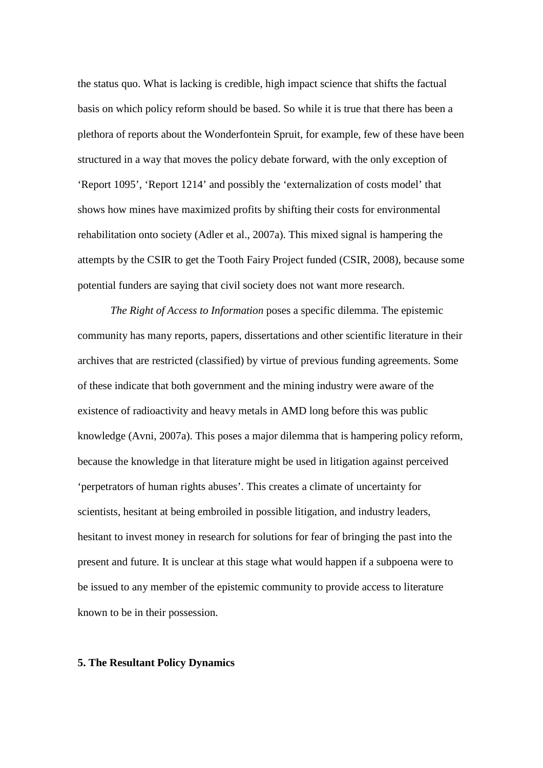the status quo. What is lacking is credible, high impact science that shifts the factual basis on which policy reform should be based. So while it is true that there has been a plethora of reports about the Wonderfontein Spruit, for example, few of these have been structured in a way that moves the policy debate forward, with the only exception of 'Report 1095', 'Report 1214' and possibly the 'externalization of costs model' that shows how mines have maximized profits by shifting their costs for environmental rehabilitation onto society (Adler et al., 2007a). This mixed signal is hampering the attempts by the CSIR to get the Tooth Fairy Project funded (CSIR, 2008), because some potential funders are saying that civil society does not want more research.

*The Right of Access to Information* poses a specific dilemma. The epistemic community has many reports, papers, dissertations and other scientific literature in their archives that are restricted (classified) by virtue of previous funding agreements. Some of these indicate that both government and the mining industry were aware of the existence of radioactivity and heavy metals in AMD long before this was public knowledge (Avni, 2007a). This poses a major dilemma that is hampering policy reform, because the knowledge in that literature might be used in litigation against perceived 'perpetrators of human rights abuses'. This creates a climate of uncertainty for scientists, hesitant at being embroiled in possible litigation, and industry leaders, hesitant to invest money in research for solutions for fear of bringing the past into the present and future. It is unclear at this stage what would happen if a subpoena were to be issued to any member of the epistemic community to provide access to literature known to be in their possession.

#### **5. The Resultant Policy Dynamics**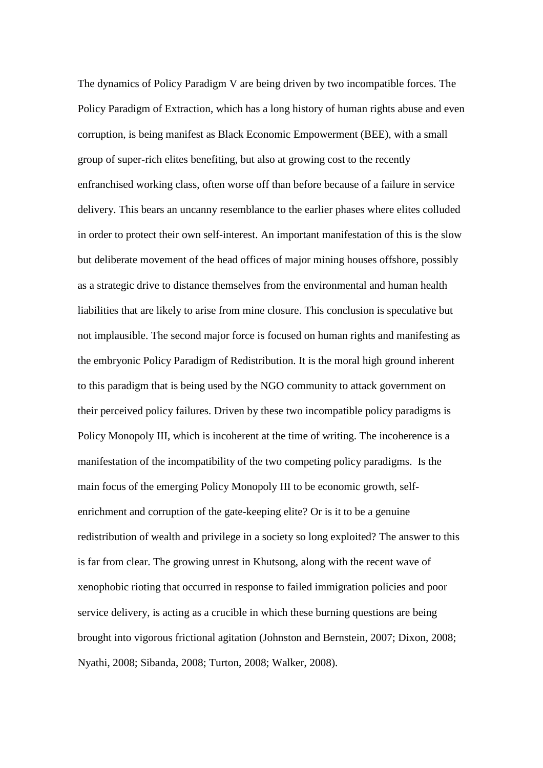The dynamics of Policy Paradigm V are being driven by two incompatible forces. The Policy Paradigm of Extraction, which has a long history of human rights abuse and even corruption, is being manifest as Black Economic Empowerment (BEE), with a small group of super-rich elites benefiting, but also at growing cost to the recently enfranchised working class, often worse off than before because of a failure in service delivery. This bears an uncanny resemblance to the earlier phases where elites colluded in order to protect their own self-interest. An important manifestation of this is the slow but deliberate movement of the head offices of major mining houses offshore, possibly as a strategic drive to distance themselves from the environmental and human health liabilities that are likely to arise from mine closure. This conclusion is speculative but not implausible. The second major force is focused on human rights and manifesting as the embryonic Policy Paradigm of Redistribution. It is the moral high ground inherent to this paradigm that is being used by the NGO community to attack government on their perceived policy failures. Driven by these two incompatible policy paradigms is Policy Monopoly III, which is incoherent at the time of writing. The incoherence is a manifestation of the incompatibility of the two competing policy paradigms. Is the main focus of the emerging Policy Monopoly III to be economic growth, selfenrichment and corruption of the gate-keeping elite? Or is it to be a genuine redistribution of wealth and privilege in a society so long exploited? The answer to this is far from clear. The growing unrest in Khutsong, along with the recent wave of xenophobic rioting that occurred in response to failed immigration policies and poor service delivery, is acting as a crucible in which these burning questions are being brought into vigorous frictional agitation (Johnston and Bernstein, 2007; Dixon, 2008; Nyathi, 2008; Sibanda, 2008; Turton, 2008; Walker, 2008).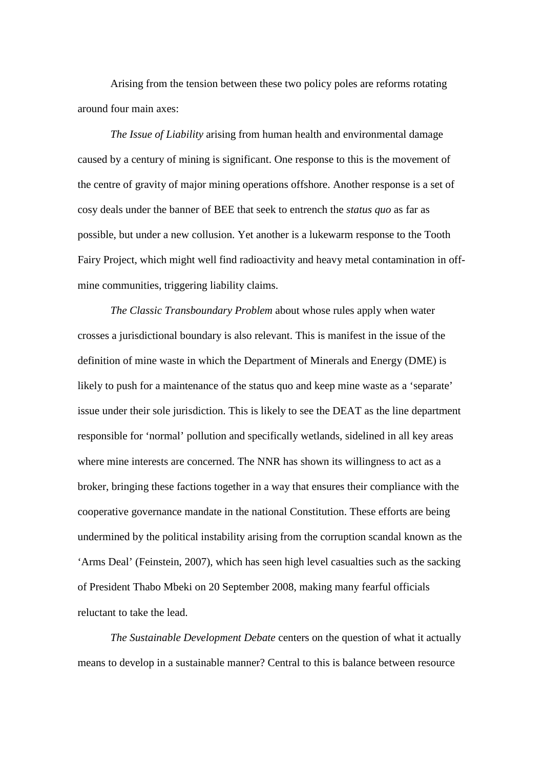Arising from the tension between these two policy poles are reforms rotating around four main axes:

*The Issue of Liability* arising from human health and environmental damage caused by a century of mining is significant. One response to this is the movement of the centre of gravity of major mining operations offshore. Another response is a set of cosy deals under the banner of BEE that seek to entrench the *status quo* as far as possible, but under a new collusion. Yet another is a lukewarm response to the Tooth Fairy Project, which might well find radioactivity and heavy metal contamination in offmine communities, triggering liability claims.

*The Classic Transboundary Problem* about whose rules apply when water crosses a jurisdictional boundary is also relevant. This is manifest in the issue of the definition of mine waste in which the Department of Minerals and Energy (DME) is likely to push for a maintenance of the status quo and keep mine waste as a 'separate' issue under their sole jurisdiction. This is likely to see the DEAT as the line department responsible for 'normal' pollution and specifically wetlands, sidelined in all key areas where mine interests are concerned. The NNR has shown its willingness to act as a broker, bringing these factions together in a way that ensures their compliance with the cooperative governance mandate in the national Constitution. These efforts are being undermined by the political instability arising from the corruption scandal known as the 'Arms Deal' (Feinstein, 2007), which has seen high level casualties such as the sacking of President Thabo Mbeki on 20 September 2008, making many fearful officials reluctant to take the lead.

*The Sustainable Development Debate* centers on the question of what it actually means to develop in a sustainable manner? Central to this is balance between resource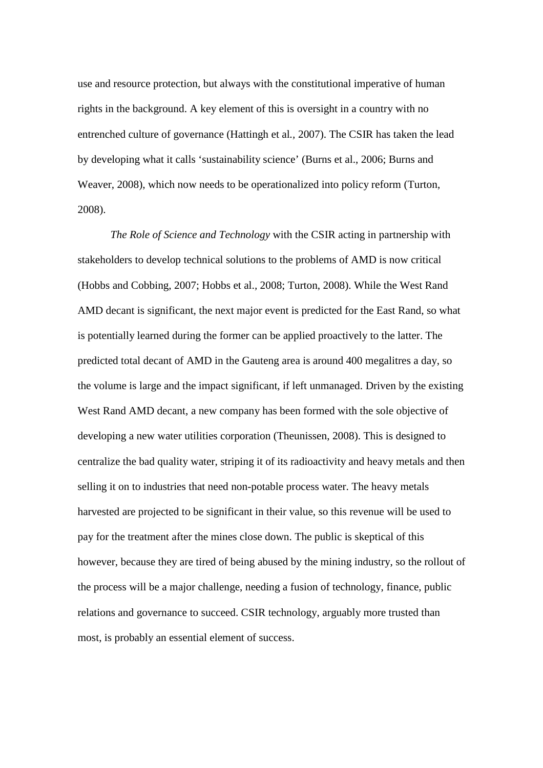use and resource protection, but always with the constitutional imperative of human rights in the background. A key element of this is oversight in a country with no entrenched culture of governance (Hattingh et al*.,* 2007). The CSIR has taken the lead by developing what it calls 'sustainability science' (Burns et al., 2006; Burns and Weaver, 2008), which now needs to be operationalized into policy reform (Turton, 2008).

*The Role of Science and Technology* with the CSIR acting in partnership with stakeholders to develop technical solutions to the problems of AMD is now critical (Hobbs and Cobbing, 2007; Hobbs et al.*,* 2008; Turton, 2008). While the West Rand AMD decant is significant, the next major event is predicted for the East Rand, so what is potentially learned during the former can be applied proactively to the latter. The predicted total decant of AMD in the Gauteng area is around 400 megalitres a day, so the volume is large and the impact significant, if left unmanaged. Driven by the existing West Rand AMD decant, a new company has been formed with the sole objective of developing a new water utilities corporation (Theunissen, 2008). This is designed to centralize the bad quality water, striping it of its radioactivity and heavy metals and then selling it on to industries that need non-potable process water. The heavy metals harvested are projected to be significant in their value, so this revenue will be used to pay for the treatment after the mines close down. The public is skeptical of this however, because they are tired of being abused by the mining industry, so the rollout of the process will be a major challenge, needing a fusion of technology, finance, public relations and governance to succeed. CSIR technology, arguably more trusted than most, is probably an essential element of success.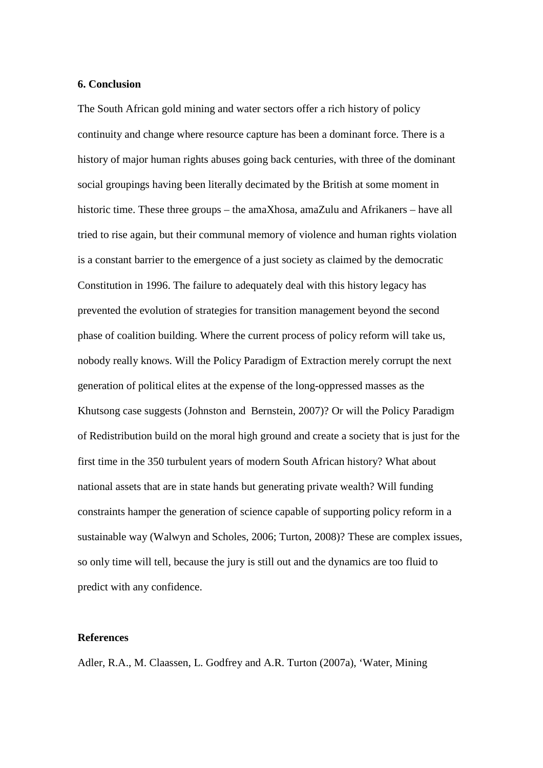#### **6. Conclusion**

The South African gold mining and water sectors offer a rich history of policy continuity and change where resource capture has been a dominant force. There is a history of major human rights abuses going back centuries, with three of the dominant social groupings having been literally decimated by the British at some moment in historic time. These three groups – the amaXhosa, amaZulu and Afrikaners – have all tried to rise again, but their communal memory of violence and human rights violation is a constant barrier to the emergence of a just society as claimed by the democratic Constitution in 1996. The failure to adequately deal with this history legacy has prevented the evolution of strategies for transition management beyond the second phase of coalition building. Where the current process of policy reform will take us, nobody really knows. Will the Policy Paradigm of Extraction merely corrupt the next generation of political elites at the expense of the long-oppressed masses as the Khutsong case suggests (Johnston and Bernstein, 2007)? Or will the Policy Paradigm of Redistribution build on the moral high ground and create a society that is just for the first time in the 350 turbulent years of modern South African history? What about national assets that are in state hands but generating private wealth? Will funding constraints hamper the generation of science capable of supporting policy reform in a sustainable way (Walwyn and Scholes, 2006; Turton, 2008)? These are complex issues, so only time will tell, because the jury is still out and the dynamics are too fluid to predict with any confidence.

#### **References**

Adler, R.A., M. Claassen, L. Godfrey and A.R. Turton (2007a), 'Water, Mining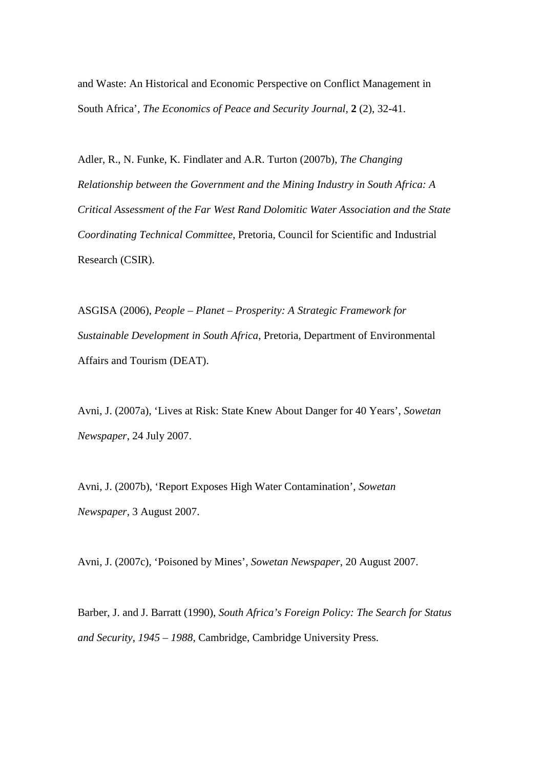and Waste: An Historical and Economic Perspective on Conflict Management in South Africa', *The Economics of Peace and Security Journal,* **2** (2), 32-41.

Adler, R., N. Funke, K. Findlater and A.R. Turton (2007b), *The Changing Relationship between the Government and the Mining Industry in South Africa: A Critical Assessment of the Far West Rand Dolomitic Water Association and the State Coordinating Technical Committee*, Pretoria, Council for Scientific and Industrial Research (CSIR).

ASGISA (2006), *People – Planet – Prosperity: A Strategic Framework for Sustainable Development in South Africa*, Pretoria, Department of Environmental Affairs and Tourism (DEAT).

Avni, J. (2007a), 'Lives at Risk: State Knew About Danger for 40 Years', *Sowetan Newspaper*, 24 July 2007.

Avni, J. (2007b), 'Report Exposes High Water Contamination', *Sowetan Newspaper,* 3 August 2007.

Avni, J. (2007c), 'Poisoned by Mines', *Sowetan Newspaper*, 20 August 2007.

Barber, J. and J. Barratt (1990), *South Africa's Foreign Policy: The Search for Status and Security, 1945 – 1988*, Cambridge, Cambridge University Press.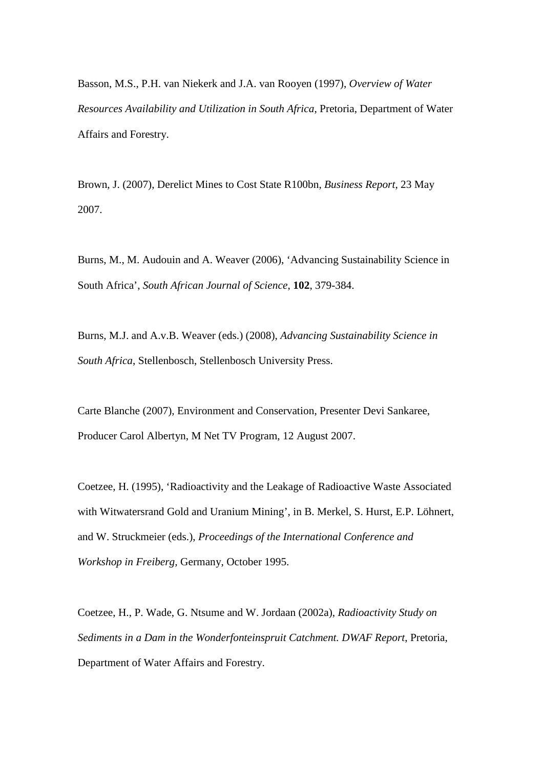Basson, M.S., P.H. van Niekerk and J.A. van Rooyen (1997), *Overview of Water Resources Availability and Utilization in South Africa*, Pretoria, Department of Water Affairs and Forestry.

Brown, J. (2007), Derelict Mines to Cost State R100bn, *Business Report*, 23 May 2007.

Burns, M., M. Audouin and A. Weaver (2006), 'Advancing Sustainability Science in South Africa', *South African Journal of Science*, **102**, 379-384.

Burns, M.J. and A.v.B. Weaver (eds.) (2008), *Advancing Sustainability Science in South Africa*, Stellenbosch, Stellenbosch University Press.

Carte Blanche (2007), Environment and Conservation, Presenter Devi Sankaree, Producer Carol Albertyn, M Net TV Program, 12 August 2007.

Coetzee, H. (1995), 'Radioactivity and the Leakage of Radioactive Waste Associated with Witwatersrand Gold and Uranium Mining', in B. Merkel, S. Hurst, E.P. Löhnert, and W. Struckmeier (eds.), *Proceedings of the International Conference and Workshop in Freiberg,* Germany, October 1995.

Coetzee, H., P. Wade, G. Ntsume and W. Jordaan (2002a), *Radioactivity Study on Sediments in a Dam in the Wonderfonteinspruit Catchment. DWAF Report*, Pretoria, Department of Water Affairs and Forestry.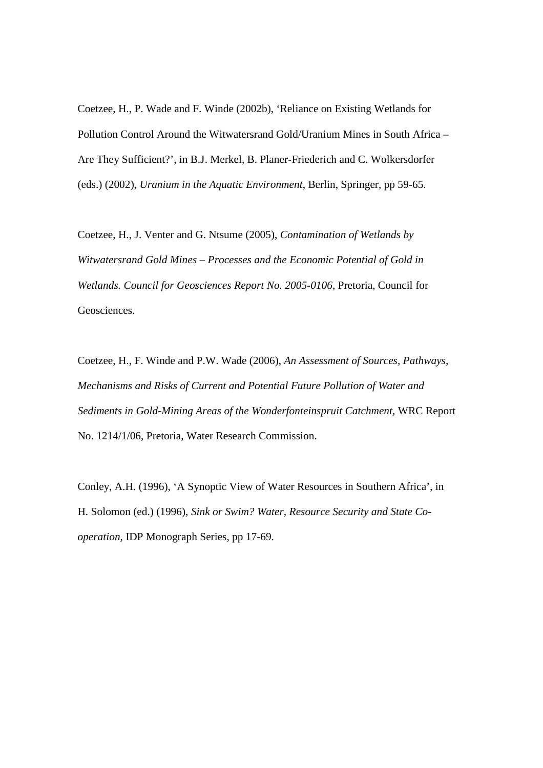Coetzee, H., P. Wade and F. Winde (2002b), 'Reliance on Existing Wetlands for Pollution Control Around the Witwatersrand Gold/Uranium Mines in South Africa – Are They Sufficient?', in B.J. Merkel, B. Planer-Friederich and C. Wolkersdorfer (eds.) (2002), *Uranium in the Aquatic Environment*, Berlin, Springer, pp 59-65.

Coetzee, H., J. Venter and G. Ntsume (2005), *Contamination of Wetlands by Witwatersrand Gold Mines – Processes and the Economic Potential of Gold in Wetlands. Council for Geosciences Report No. 2005-0106*, Pretoria, Council for Geosciences.

Coetzee, H., F. Winde and P.W. Wade (2006), *An Assessment of Sources, Pathways, Mechanisms and Risks of Current and Potential Future Pollution of Water and Sediments in Gold-Mining Areas of the Wonderfonteinspruit Catchment,* WRC Report No. 1214/1/06, Pretoria, Water Research Commission.

Conley, A.H. (1996), 'A Synoptic View of Water Resources in Southern Africa', in H. Solomon (ed.) (1996), *Sink or Swim? Water, Resource Security and State Cooperation*, IDP Monograph Series, pp 17-69.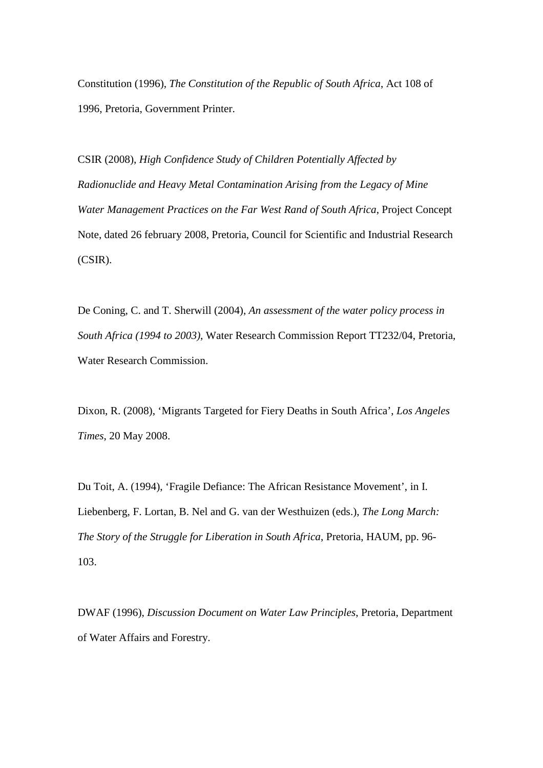Constitution (1996), *The Constitution of the Republic of South Africa*, Act 108 of 1996, Pretoria, Government Printer.

CSIR (2008), *High Confidence Study of Children Potentially Affected by Radionuclide and Heavy Metal Contamination Arising from the Legacy of Mine Water Management Practices on the Far West Rand of South Africa*, Project Concept Note, dated 26 february 2008, Pretoria, Council for Scientific and Industrial Research (CSIR).

De Coning, C. and T. Sherwill (2004), *An assessment of the water policy process in South Africa (1994 to 2003)*, Water Research Commission Report TT232/04, Pretoria, Water Research Commission.

Dixon, R. (2008), 'Migrants Targeted for Fiery Deaths in South Africa', *Los Angeles Times*, 20 May 2008.

Du Toit, A. (1994), 'Fragile Defiance: The African Resistance Movement', in I. Liebenberg, F. Lortan, B. Nel and G. van der Westhuizen (eds.), *The Long March: The Story of the Struggle for Liberation in South Africa*, Pretoria, HAUM, pp. 96- 103.

DWAF (1996), *Discussion Document on Water Law Principles*, Pretoria, Department of Water Affairs and Forestry.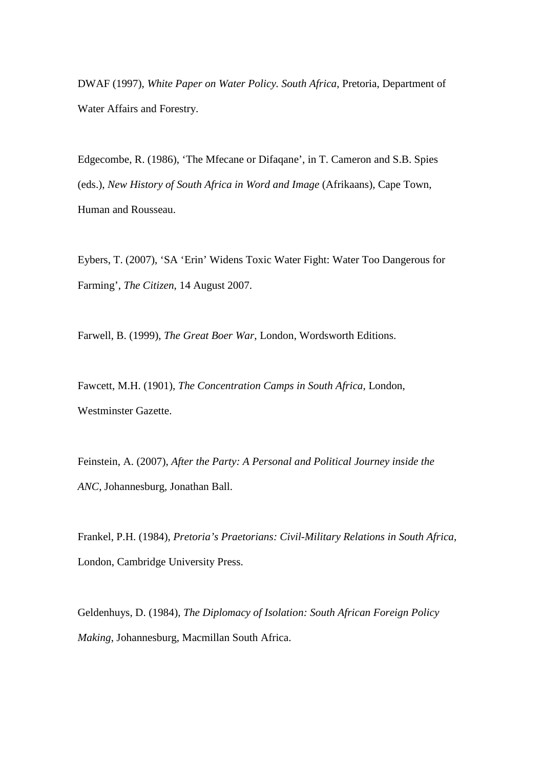DWAF (1997), *White Paper on Water Policy. South Africa*, Pretoria, Department of Water Affairs and Forestry.

Edgecombe, R. (1986), 'The Mfecane or Difaqane', in T. Cameron and S.B. Spies (eds.), *New History of South Africa in Word and Image* (Afrikaans), Cape Town, Human and Rousseau.

Eybers, T. (2007), 'SA 'Erin' Widens Toxic Water Fight: Water Too Dangerous for Farming', *The Citizen*, 14 August 2007.

Farwell, B. (1999), *The Great Boer War*, London, Wordsworth Editions.

Fawcett, M.H. (1901), *The Concentration Camps in South Africa*, London, Westminster Gazette.

Feinstein, A. (2007), *After the Party: A Personal and Political Journey inside the ANC*, Johannesburg, Jonathan Ball.

Frankel, P.H. (1984), *Pretoria's Praetorians: Civil-Military Relations in South Africa*, London, Cambridge University Press.

Geldenhuys, D. (1984), *The Diplomacy of Isolation: South African Foreign Policy Making*, Johannesburg, Macmillan South Africa.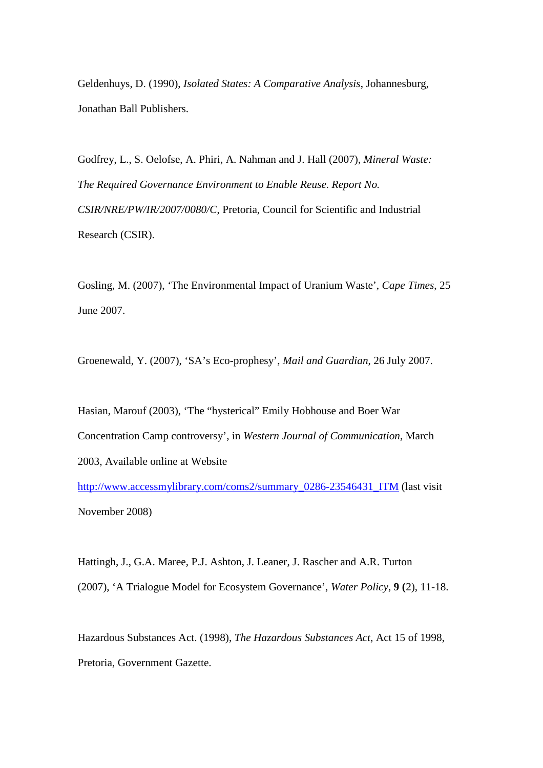Geldenhuys, D. (1990), *Isolated States: A Comparative Analysis*, Johannesburg, Jonathan Ball Publishers.

Godfrey, L., S. Oelofse, A. Phiri, A. Nahman and J. Hall (2007), *Mineral Waste: The Required Governance Environment to Enable Reuse. Report No. CSIR/NRE/PW/IR/2007/0080/C*, Pretoria, Council for Scientific and Industrial Research (CSIR).

Gosling, M. (2007), 'The Environmental Impact of Uranium Waste', *Cape Times*, 25 June 2007.

Groenewald, Y. (2007), 'SA's Eco-prophesy', *Mail and Guardian*, 26 July 2007.

Hasian, Marouf (2003), 'The "hysterical" Emily Hobhouse and Boer War Concentration Camp controversy', in *Western Journal of Communication*, March 2003, Available online at Website

http://www.accessmylibrary.com/coms2/summary\_0286-23546431\_ITM (last visit November 2008)

Hattingh, J., G.A. Maree, P.J. Ashton, J. Leaner, J. Rascher and A.R. Turton (2007), 'A Trialogue Model for Ecosystem Governance', *Water Policy*, **9 (**2), 11-18.

Hazardous Substances Act. (1998), *The Hazardous Substances Act*, Act 15 of 1998, Pretoria, Government Gazette.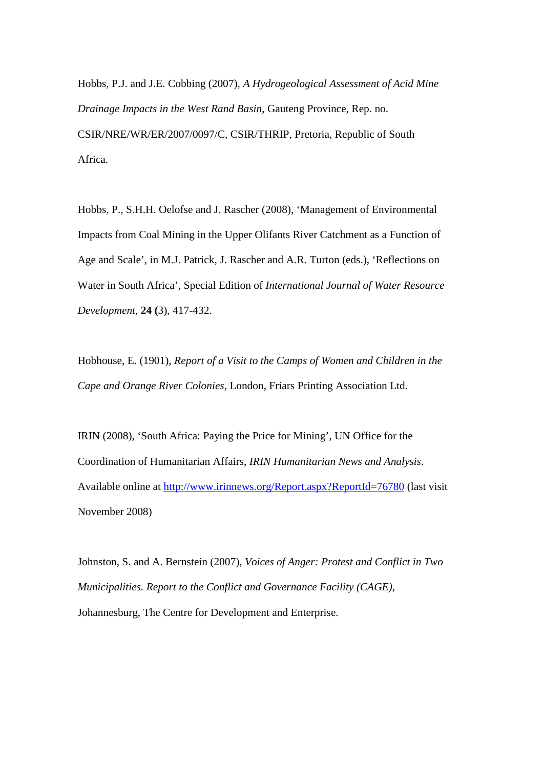Hobbs, P.J. and J.E. Cobbing (2007), *A Hydrogeological Assessment of Acid Mine Drainage Impacts in the West Rand Basin*, Gauteng Province, Rep. no. CSIR/NRE/WR/ER/2007/0097/C, CSIR/THRIP, Pretoria, Republic of South Africa.

Hobbs, P., S.H.H. Oelofse and J. Rascher (2008), 'Management of Environmental Impacts from Coal Mining in the Upper Olifants River Catchment as a Function of Age and Scale', in M.J. Patrick, J. Rascher and A.R. Turton (eds.), 'Reflections on Water in South Africa', Special Edition of *International Journal of Water Resource Development*, **24 (**3), 417-432.

Hobhouse, E. (1901), *Report of a Visit to the Camps of Women and Children in the Cape and Orange River Colonies*, London, Friars Printing Association Ltd.

IRIN (2008), 'South Africa: Paying the Price for Mining', UN Office for the Coordination of Humanitarian Affairs, *IRIN Humanitarian News and Analysis*. Available online at http://www.irinnews.org/Report.aspx?ReportId=76780 (last visit November 2008)

Johnston, S. and A. Bernstein (2007), *Voices of Anger: Protest and Conflict in Two Municipalities. Report to the Conflict and Governance Facility (CAGE)*, Johannesburg, The Centre for Development and Enterprise.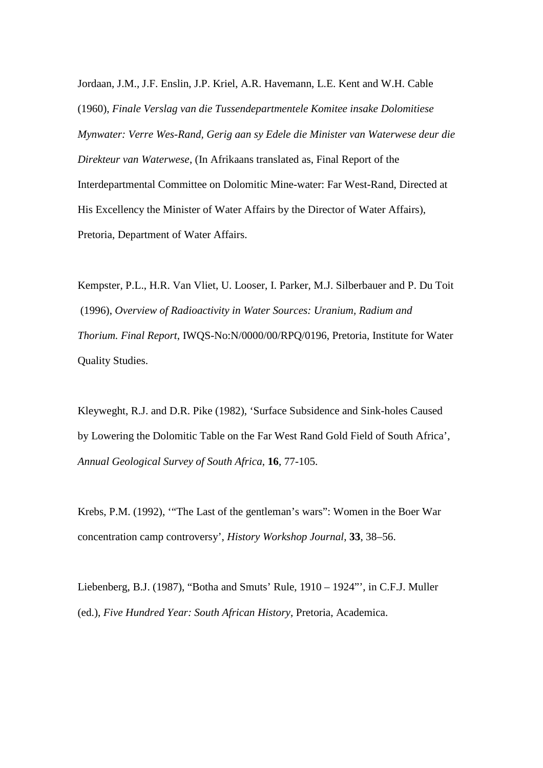Jordaan, J.M., J.F. Enslin, J.P. Kriel, A.R. Havemann, L.E. Kent and W.H. Cable (1960), *Finale Verslag van die Tussendepartmentele Komitee insake Dolomitiese Mynwater: Verre Wes-Rand, Gerig aan sy Edele die Minister van Waterwese deur die Direkteur van Waterwese*, (In Afrikaans translated as, Final Report of the Interdepartmental Committee on Dolomitic Mine-water: Far West-Rand, Directed at His Excellency the Minister of Water Affairs by the Director of Water Affairs), Pretoria, Department of Water Affairs.

Kempster, P.L., H.R. Van Vliet, U. Looser, I. Parker, M.J. Silberbauer and P. Du Toit (1996), *Overview of Radioactivity in Water Sources: Uranium, Radium and Thorium. Final Report*, IWQS-No:N/0000/00/RPQ/0196, Pretoria, Institute for Water Quality Studies.

Kleyweght, R.J. and D.R. Pike (1982), 'Surface Subsidence and Sink-holes Caused by Lowering the Dolomitic Table on the Far West Rand Gold Field of South Africa', *Annual Geological Survey of South Africa*, **16**, 77-105.

Krebs, P.M. (1992), '"The Last of the gentleman's wars": Women in the Boer War concentration camp controversy', *History Workshop Journal*, **33**, 38–56.

Liebenberg, B.J. (1987), "Botha and Smuts' Rule, 1910 – 1924"', in C.F.J. Muller (ed.), *Five Hundred Year: South African History*, Pretoria, Academica.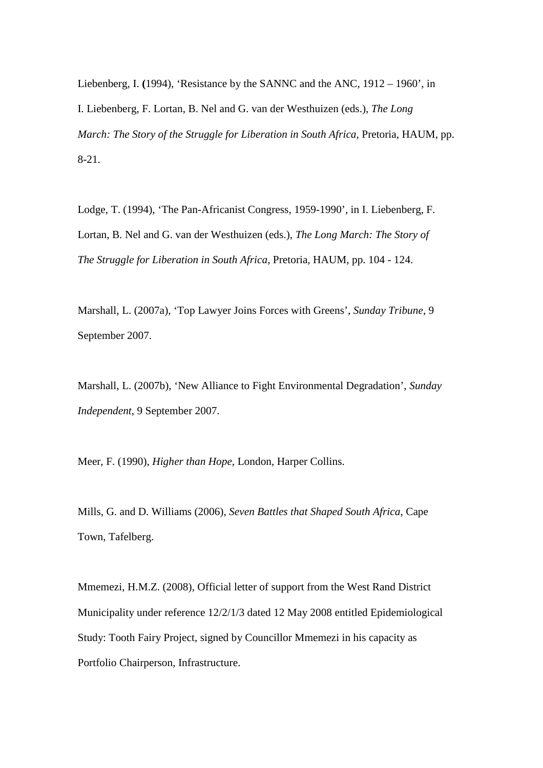Liebenberg, I. **(**1994), 'Resistance by the SANNC and the ANC, 1912 – 1960', in I. Liebenberg, F. Lortan, B. Nel and G. van der Westhuizen (eds.), *The Long March: The Story of the Struggle for Liberation in South Africa,* Pretoria, HAUM, pp. 8-21.

Lodge, T. (1994), 'The Pan-Africanist Congress, 1959-1990', in I. Liebenberg, F. Lortan, B. Nel and G. van der Westhuizen (eds.), *The Long March: The Story of The Struggle for Liberation in South Africa*, Pretoria, HAUM, pp. 104 - 124.

Marshall, L. (2007a), 'Top Lawyer Joins Forces with Greens', *Sunday Tribune*, 9 September 2007.

Marshall, L. (2007b), 'New Alliance to Fight Environmental Degradation', *Sunday Independent*, 9 September 2007.

Meer, F. (1990), *Higher than Hope*, London, Harper Collins.

Mills, G. and D. Williams (2006), *Seven Battles that Shaped South Africa*, Cape Town, Tafelberg.

Mmemezi, H.M.Z. (2008), Official letter of support from the West Rand District Municipality under reference 12/2/1/3 dated 12 May 2008 entitled Epidemiological Study: Tooth Fairy Project, signed by Councillor Mmemezi in his capacity as Portfolio Chairperson, Infrastructure.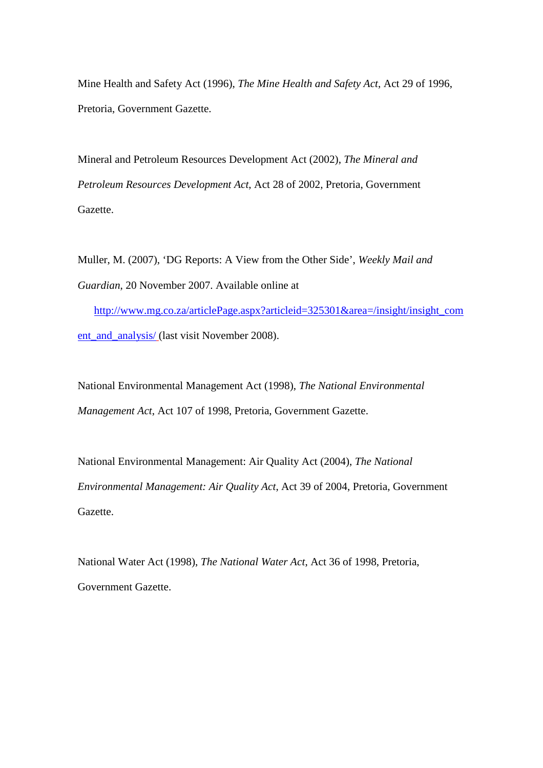Mine Health and Safety Act (1996), *The Mine Health and Safety Act*, Act 29 of 1996, Pretoria, Government Gazette.

Mineral and Petroleum Resources Development Act (2002), *The Mineral and Petroleum Resources Development Act*, Act 28 of 2002, Pretoria, Government Gazette.

Muller, M. (2007), 'DG Reports: A View from the Other Side', *Weekly Mail and Guardian*, 20 November 2007. Available online at

http://www.mg.co.za/articlePage.aspx?articleid=325301&area=/insight/insight\_com ent\_and\_analysis/ (last visit November 2008).

National Environmental Management Act (1998), *The National Environmental Management Act*, Act 107 of 1998, Pretoria, Government Gazette.

National Environmental Management: Air Quality Act (2004), *The National Environmental Management: Air Quality Act*, Act 39 of 2004, Pretoria, Government Gazette.

National Water Act (1998), *The National Water Act*, Act 36 of 1998, Pretoria, Government Gazette.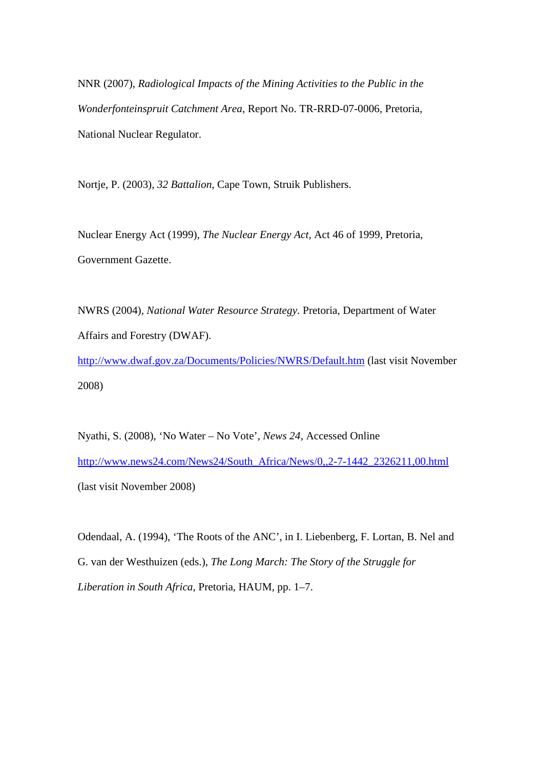NNR (2007), *Radiological Impacts of the Mining Activities to the Public in the Wonderfonteinspruit Catchment Area*, Report No. TR-RRD-07-0006, Pretoria, National Nuclear Regulator.

Nortje, P. (2003), *32 Battalion*, Cape Town, Struik Publishers.

Nuclear Energy Act (1999), *The Nuclear Energy Act,* Act 46 of 1999, Pretoria, Government Gazette.

NWRS (2004), *National Water Resource Strategy.* Pretoria, Department of Water Affairs and Forestry (DWAF).

http://www.dwaf.gov.za/Documents/Policies/NWRS/Default.htm (last visit November 2008)

Nyathi, S. (2008), 'No Water – No Vote', *News 24*, Accessed Online http://www.news24.com/News24/South\_Africa/News/0,,2-7-1442\_2326211,00.html (last visit November 2008)

Odendaal, A. (1994), 'The Roots of the ANC', in I. Liebenberg, F. Lortan, B. Nel and G. van der Westhuizen (eds.), *The Long March: The Story of the Struggle for Liberation in South Africa*, Pretoria, HAUM, pp. 1–7.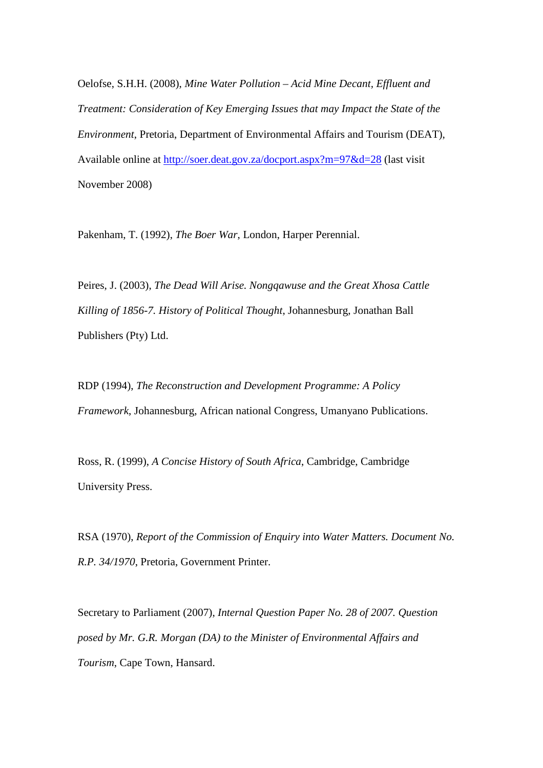Oelofse, S.H.H. (2008), *Mine Water Pollution – Acid Mine Decant, Effluent and Treatment: Consideration of Key Emerging Issues that may Impact the State of the Environment*, Pretoria, Department of Environmental Affairs and Tourism (DEAT), Available online at http://soer.deat.gov.za/docport.aspx?m=97&d=28 (last visit November 2008)

Pakenham, T. (1992), *The Boer War*, London, Harper Perennial.

Peires, J. (2003), *The Dead Will Arise. Nongqawuse and the Great Xhosa Cattle Killing of 1856-7. History of Political Thought*, Johannesburg, Jonathan Ball Publishers (Pty) Ltd.

RDP (1994), *The Reconstruction and Development Programme: A Policy Framework*, Johannesburg, African national Congress, Umanyano Publications.

Ross, R. (1999), *A Concise History of South Africa*, Cambridge, Cambridge University Press.

RSA (1970), *Report of the Commission of Enquiry into Water Matters. Document No. R.P. 34/1970*, Pretoria, Government Printer.

Secretary to Parliament (2007), *Internal Question Paper No. 28 of 2007. Question posed by Mr. G.R. Morgan (DA) to the Minister of Environmental Affairs and Tourism*, Cape Town, Hansard.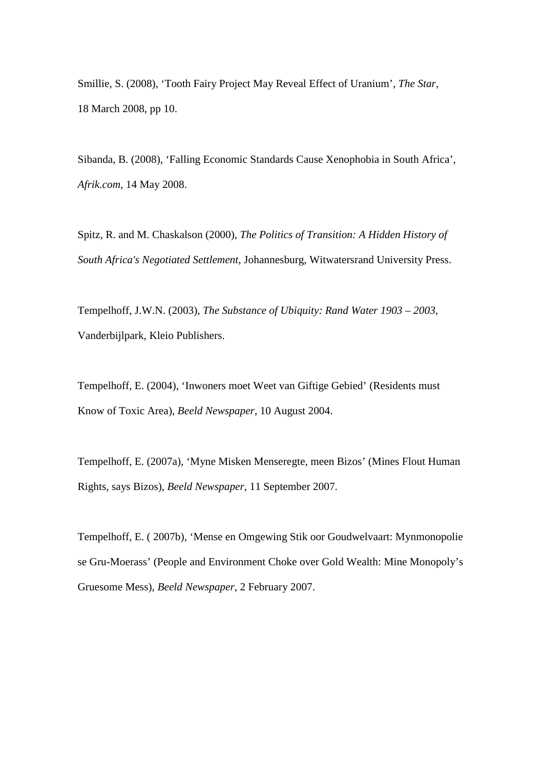Smillie, S. (2008), 'Tooth Fairy Project May Reveal Effect of Uranium', *The Star,* 18 March 2008, pp 10.

Sibanda, B. (2008), 'Falling Economic Standards Cause Xenophobia in South Africa', *Afrik.com*, 14 May 2008.

Spitz, R. and M. Chaskalson (2000), *The Politics of Transition: A Hidden History of South Africa's Negotiated Settlement*, Johannesburg, Witwatersrand University Press.

Tempelhoff, J.W.N. (2003), *The Substance of Ubiquity: Rand Water 1903 – 2003*, Vanderbijlpark, Kleio Publishers.

Tempelhoff, E. (2004), 'Inwoners moet Weet van Giftige Gebied' (Residents must Know of Toxic Area), *Beeld Newspaper*, 10 August 2004.

Tempelhoff, E. (2007a), 'Myne Misken Menseregte, meen Bizos' (Mines Flout Human Rights, says Bizos), *Beeld Newspaper*, 11 September 2007.

Tempelhoff, E. ( 2007b), 'Mense en Omgewing Stik oor Goudwelvaart: Mynmonopolie se Gru-Moerass' (People and Environment Choke over Gold Wealth: Mine Monopoly's Gruesome Mess), *Beeld Newspaper*, 2 February 2007.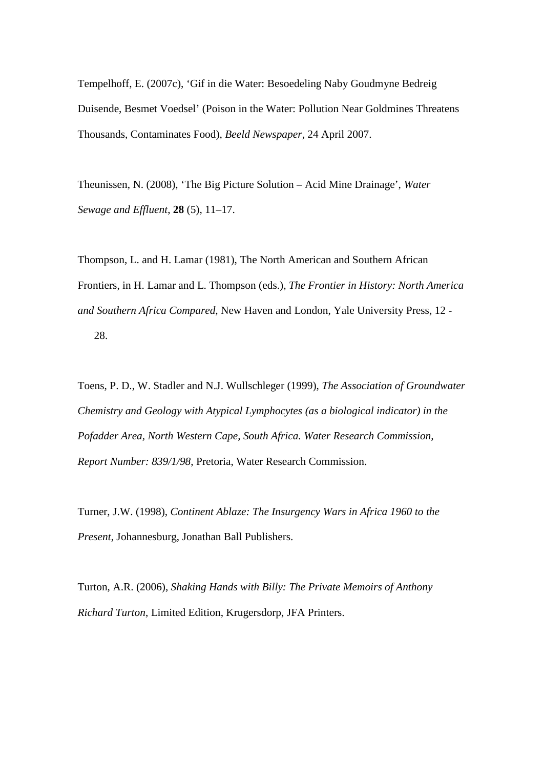Tempelhoff, E. (2007c), 'Gif in die Water: Besoedeling Naby Goudmyne Bedreig Duisende, Besmet Voedsel' (Poison in the Water: Pollution Near Goldmines Threatens Thousands, Contaminates Food), *Beeld Newspaper*, 24 April 2007.

Theunissen, N. (2008), 'The Big Picture Solution – Acid Mine Drainage', *Water Sewage and Effluent*, **28** (5), 11–17.

Thompson, L. and H. Lamar (1981), The North American and Southern African Frontiers, in H. Lamar and L. Thompson (eds.), *The Frontier in History: North America and Southern Africa Compared*, New Haven and London, Yale University Press, 12 - 28.

Toens, P. D., W. Stadler and N.J. Wullschleger (1999), *The Association of Groundwater Chemistry and Geology with Atypical Lymphocytes (as a biological indicator) in the Pofadder Area, North Western Cape, South Africa. Water Research Commission, Report Number: 839/1/98*, Pretoria, Water Research Commission.

Turner, J.W. (1998), *Continent Ablaze: The Insurgency Wars in Africa 1960 to the Present*, Johannesburg, Jonathan Ball Publishers.

Turton, A.R. (2006), *Shaking Hands with Billy: The Private Memoirs of Anthony Richard Turton*, Limited Edition, Krugersdorp, JFA Printers.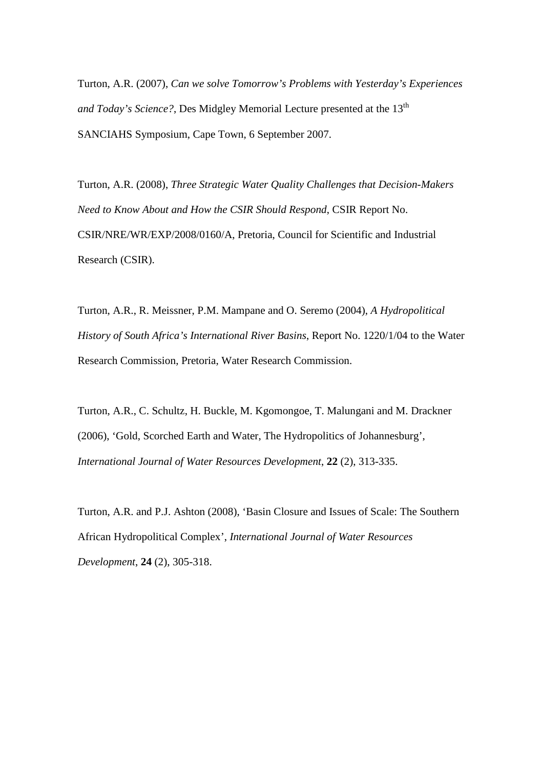Turton, A.R. (2007), *Can we solve Tomorrow's Problems with Yesterday's Experiences and Today's Science?*, Des Midgley Memorial Lecture presented at the 13<sup>th</sup> SANCIAHS Symposium, Cape Town, 6 September 2007.

Turton, A.R. (2008), *Three Strategic Water Quality Challenges that Decision-Makers Need to Know About and How the CSIR Should Respond*, CSIR Report No. CSIR/NRE/WR/EXP/2008/0160/A, Pretoria, Council for Scientific and Industrial Research (CSIR).

Turton, A.R., R. Meissner, P.M. Mampane and O. Seremo (2004), *A Hydropolitical History of South Africa's International River Basins*, Report No. 1220/1/04 to the Water Research Commission, Pretoria, Water Research Commission.

Turton, A.R., C. Schultz, H. Buckle, M. Kgomongoe, T. Malungani and M. Drackner (2006), 'Gold, Scorched Earth and Water, The Hydropolitics of Johannesburg', *International Journal of Water Resources Development*, **22** (2), 313-335.

Turton, A.R. and P.J. Ashton (2008), 'Basin Closure and Issues of Scale: The Southern African Hydropolitical Complex', *International Journal of Water Resources Development*, **24** (2), 305-318.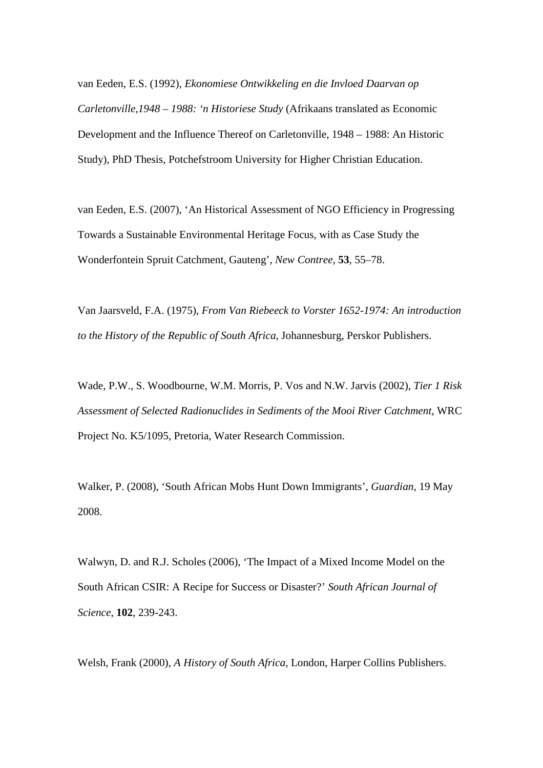van Eeden, E.S. (1992), *Ekonomiese Ontwikkeling en die Invloed Daarvan op Carletonville,1948 – 1988: 'n Historiese Study* (Afrikaans translated as Economic Development and the Influence Thereof on Carletonville, 1948 – 1988: An Historic Study), PhD Thesis, Potchefstroom University for Higher Christian Education.

van Eeden, E.S. (2007), 'An Historical Assessment of NGO Efficiency in Progressing Towards a Sustainable Environmental Heritage Focus, with as Case Study the Wonderfontein Spruit Catchment, Gauteng', *New Contree*, **53**, 55–78.

Van Jaarsveld, F.A. (1975), *From Van Riebeeck to Vorster 1652-1974: An introduction to the History of the Republic of South Africa*, Johannesburg, Perskor Publishers.

Wade, P.W., S. Woodbourne, W.M. Morris, P. Vos and N.W. Jarvis (2002), *Tier 1 Risk Assessment of Selected Radionuclides in Sediments of the Mooi River Catchment*, WRC Project No. K5/1095, Pretoria, Water Research Commission.

Walker, P. (2008), 'South African Mobs Hunt Down Immigrants', *Guardian*, 19 May 2008.

Walwyn, D. and R.J. Scholes (2006), 'The Impact of a Mixed Income Model on the South African CSIR: A Recipe for Success or Disaster?' *South African Journal of Science*, **102**, 239-243.

Welsh, Frank (2000), *A History of South Africa*, London, Harper Collins Publishers.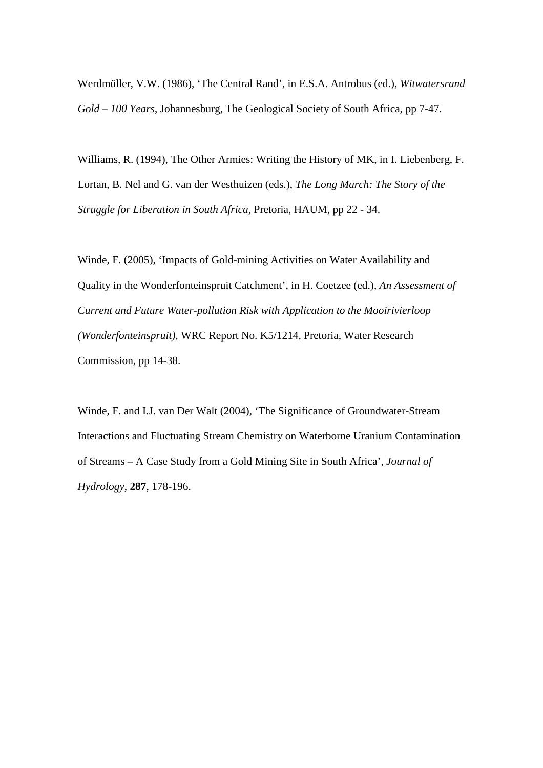Werdmüller, V.W. (1986), 'The Central Rand', in E.S.A. Antrobus (ed.), *Witwatersrand Gold – 100 Years*, Johannesburg, The Geological Society of South Africa, pp 7-47.

Williams, R. (1994), The Other Armies: Writing the History of MK, in I. Liebenberg, F. Lortan, B. Nel and G. van der Westhuizen (eds.), *The Long March: The Story of the Struggle for Liberation in South Africa*, Pretoria, HAUM, pp 22 - 34.

Winde, F. (2005), 'Impacts of Gold-mining Activities on Water Availability and Quality in the Wonderfonteinspruit Catchment', in H. Coetzee (ed.), *An Assessment of Current and Future Water-pollution Risk with Application to the Mooirivierloop (Wonderfonteinspruit)*, WRC Report No. K5/1214, Pretoria, Water Research Commission, pp 14-38.

Winde, F. and I.J. van Der Walt (2004), 'The Significance of Groundwater-Stream Interactions and Fluctuating Stream Chemistry on Waterborne Uranium Contamination of Streams – A Case Study from a Gold Mining Site in South Africa', *Journal of Hydrology*, **287**, 178-196.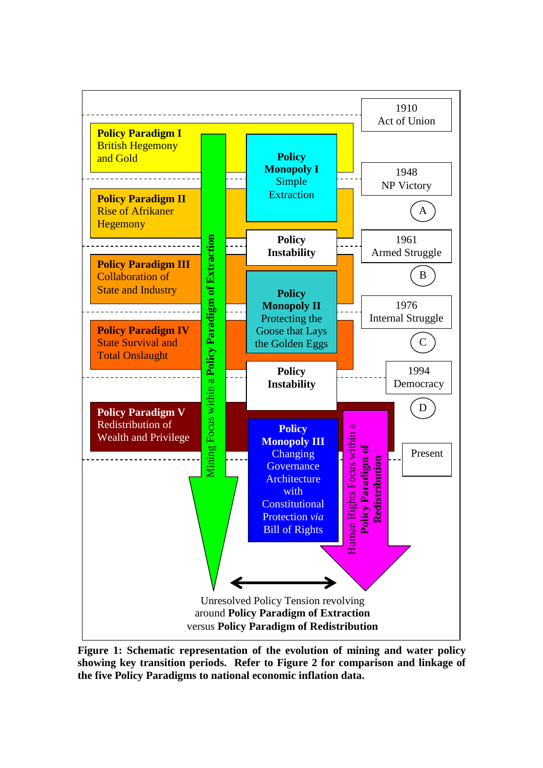

**Figure 1: Schematic representation of the evolution of mining and water policy showing key transition periods. Refer to Figure 2 for comparison and linkage of the five Policy Paradigms to national economic inflation data.**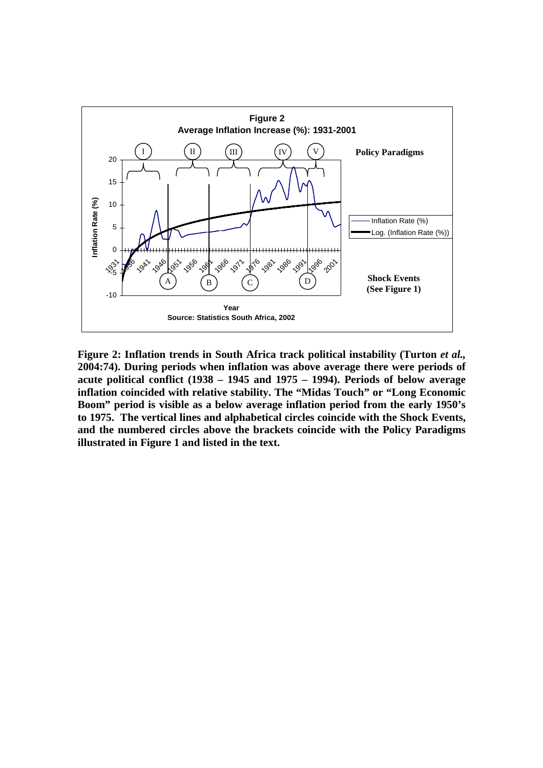![](_page_43_Figure_0.jpeg)

Figure 2: Inflation trends in South Africa track political instability (Turton *et al.,* **2004:74). During periods when inflation was above average there were periods of acute political conflict (1938 – 1945 and 1975 – 1994). Periods of below average inflation coincided with relative stability. The "Midas Touch" or "Long Economic Boom" period is visible as a below average inflation period from the early 1950's to 1975. The vertical lines and alphabetical circles coincide with the Shock Events, and the numbered circles above the brackets coincide with the Policy Paradigms illustrated in Figure 1 and listed in the text.**